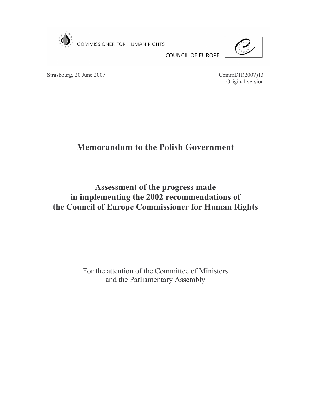



**COUNCIL OF EUROPE** 

Strasbourg, 20 June 2007

CommDH(2007)13 Original version

# **Memorandum to the Polish Government**

Assessment of the progress made in implementing the 2002 recommendations of the Council of Europe Commissioner for Human Rights

> For the attention of the Committee of Ministers and the Parliamentary Assembly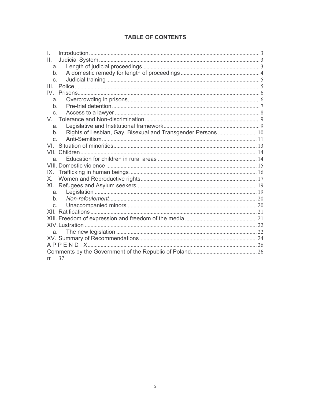## **TABLE OF CONTENTS**

| Ī.                                                                    |  |
|-----------------------------------------------------------------------|--|
| ΙΙ.                                                                   |  |
| a.                                                                    |  |
| $b_{-}$                                                               |  |
| $C_{-}$                                                               |  |
| $\mathbf{III}$                                                        |  |
|                                                                       |  |
| a.                                                                    |  |
| b.                                                                    |  |
| C <sub>1</sub>                                                        |  |
|                                                                       |  |
| a.                                                                    |  |
| Rights of Lesbian, Gay, Bisexual and Transgender Persons  10<br>$b$ . |  |
| $\mathsf{C}$                                                          |  |
|                                                                       |  |
|                                                                       |  |
| a.                                                                    |  |
|                                                                       |  |
|                                                                       |  |
| Х.                                                                    |  |
|                                                                       |  |
| a.                                                                    |  |
| b.                                                                    |  |
| $C_{1}$                                                               |  |
|                                                                       |  |
|                                                                       |  |
|                                                                       |  |
| a.                                                                    |  |
|                                                                       |  |
|                                                                       |  |
|                                                                       |  |
| 37<br>rr                                                              |  |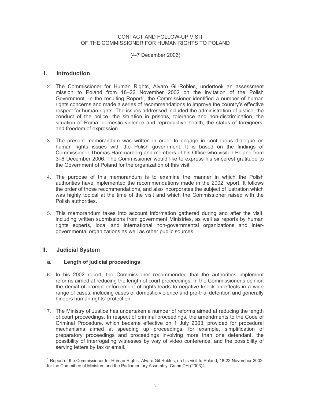### CONTACT AND FOLLOW-UP VISIT OF THE COMMISSIONER FOR HUMAN RIGHTS TO POLAND

### (4-7 December 2006)

#### **Introduction** L.

- 2. The Commissioner for Human Rights, Alvaro Gil-Robles, undertook an assessment mission to Poland from 18-22 November 2002 on the invitation of the Polish Government. In the resulting Report<sup>1</sup>, the Commissioner identified a number of human rights concerns and made a series of recommendations to improve the country's effective respect for human rights. The issues addressed included the administration of justice, the conduct of the police, the situation in prisons, tolerance and non-discrimination, the situation of Roma, domestic violence and reproductive health, the status of foreigners, and freedom of expression.
- 3. The present memorandum was written in order to engage in continuous dialogue on human rights issues with the Polish government. It is based on the findings of Commissioner Thomas Hammarberg and members of his Office who visited Poland from 3-6 December 2006. The Commissioner would like to express his sincerest gratitude to the Government of Poland for the organization of this visit.
- 4. The purpose of this memorandum is to examine the manner in which the Polish authorities have implemented the recommendations made in the 2002 report. It follows the order of those recommendations, and also incorporates the subject of lustration which was highly topical at the time of the visit and which the Commissioner raised with the Polish authorities.
- 5. This memorandum takes into account information gathered during and after the visit, including written submissions from government Ministries, as well as reports by human rights experts, local and international non-governmental organizations and intergovernmental organizations as well as other public sources.

#### Ш. **Judicial System**

#### Length of judicial proceedings  $a_{\cdot}$

- 6. In his 2002 report, the Commissioner recommended that the authorities implement reforms aimed at reducing the length of court proceedings. In the Commissioner's opinion the denial of prompt enforcement of rights leads to negative knock-on effects in a wide range of cases, including cases of domestic violence and pre-trial detention and generally hinders human rights' protection.
- 7. The Ministry of Justice has undertaken a number of reforms aimed at reducing the length of court proceedings. In respect of criminal proceedings, the amendments to the Code of Criminal Procedure, which became effective on 1 July 2003, provided for procedural mechanisms aimed at speeding up proceedings, for example, simplification of preparatory proceedings and proceedings involving more than one defendant, the possibility of interrogating witnesses by way of video conference, and the possibility of serving letters by fax or email.

<sup>&</sup>lt;sup>1</sup> Report of the Commissioner for Human Rights, Alvaro Gil-Robles, on his visit to Poland, 18-22 November 2002, for the Committee of Ministers and the Parliamentary Assembly, CommDH (2003)4.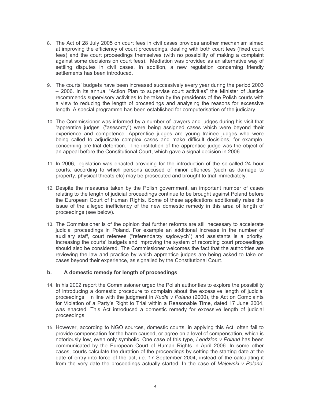- 8. The Act of 28 July 2005 on court fees in civil cases provides another mechanism aimed at improving the efficiency of court proceedings, dealing with both court fees (fixed court fees) and the court proceedings themselves (with no possibility of making a complaint against some decisions on court fees). Mediation was provided as an alternative way of settling disputes in civil cases. In addition, a new regulation concerning friendly settlements has been introduced.
- 9. The courts' budgets have been increased successively every year during the period 2003 - 2006. In its annual "Action Plan to supervise court activities" the Minister of Justice recommends supervisory activities to be taken by the presidents of the Polish courts with a view to reducing the length of proceedings and analysing the reasons for excessive length. A special programme has been established for computerisation of the judiciary.
- 10. The Commissioner was informed by a number of lawyers and judges during his visit that 'apprentice judges' ("asesorzy") were being assigned cases which were beyond their experience and competence. Apprentice judges are young trainee judges who were being called to adjudicate complex cases and make difficult decisions, for example, concerning pre-trial detention. The institution of the apprentice judge was the object of an appeal before the Constitutional Court, which gave a signal decision in 2006.
- 11. In 2006, legislation was enacted providing for the introduction of the so-called 24 hour courts, according to which persons accused of minor offences (such as damage to property, physical threats etc) may be prosecuted and brought to trial immediately.
- 12. Despite the measures taken by the Polish government, an important number of cases relating to the length of judicial proceedings continue to be brought against Poland before the European Court of Human Rights. Some of these applications additionally raise the issue of the alleged inefficiency of the new domestic remedy in this area of length of proceedings (see below).
- 13. The Commissioner is of the opinion that further reforms are still necessary to accelerate judicial proceedings in Poland. For example an additional increase in the number of auxiliary staff, court referees ("referendarzy sadowych") and assistants is a priority. Increasing the courts' budgets and improving the system of recording court proceedings should also be considered. The Commissioner welcomes the fact that the authorities are reviewing the law and practice by which apprentice judges are being asked to take on cases bevond their experience, as signalled by the Constitutional Court.

#### $\mathbf b$ . A domestic remedy for length of proceedings

- 14. In his 2002 report the Commissioner urged the Polish authorities to explore the possibility of introducing a domestic procedure to complain about the excessive length of judicial proceedings. In line with the judgment in Kudla v Poland (2000), the Act on Complaints for Violation of a Party's Right to Trial within a Reasonable Time, dated 17 June 2004, was enacted. This Act introduced a domestic remedy for excessive length of judicial proceedings.
- 15. However, according to NGO sources, domestic courts, in applying this Act, often fail to provide compensation for the harm caused, or agree on a level of compensation, which is notoriously low, even only symbolic. One case of this type, Lendzion v Poland has been communicated by the European Court of Human Rights in April 2006. In some other cases, courts calculate the duration of the proceedings by setting the starting date at the date of entry into force of the act, i.e. 17 September 2004, instead of the calculating it from the very date the proceedings actually started. In the case of Majewski v Poland,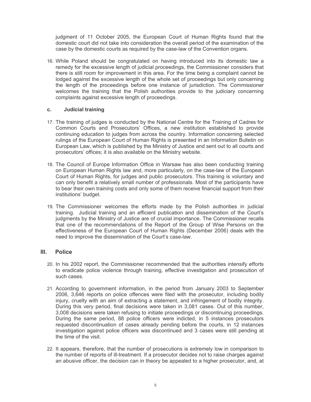judgment of 11 October 2005, the European Court of Human Rights found that the domestic court did not take into consideration the overall period of the examination of the case by the domestic courts as required by the case-law of the Convention organs.

16. While Poland should be congratulated on having introduced into its domestic law a remedy for the excessive length of judicial proceedings, the Commissioner considers that there is still room for improvement in this area. For the time being a complaint cannot be lodged against the excessive length of the whole set of proceedings but only concerning the length of the proceedings before one instance of jurisdiction. The Commissioner welcomes the training that the Polish authorities provide to the judiciary concerning complaints against excessive length of proceedings.

#### $c_{\cdot}$ **Judicial training**

- 17. The training of judges is conducted by the National Centre for the Training of Cadres for Common Courts and Prosecutors' Offices, a new institution established to provide continuing education to judges from across the country. Information concerning selected rulings of the European Court of Human Rights is presented in an Information Bulletin on European Law, which is published by the Ministry of Justice and sent out to all courts and prosecutors' offices; it is also available on the Ministry website.
- 18. The Council of Europe Information Office in Warsaw has also been conducting training on European Human Rights law and, more particularly, on the case-law of the European Court of Human Rights, for judges and public prosecutors. This training is voluntary and can only benefit a relatively small number of professionals. Most of the participants have to bear their own training costs and only some of them receive financial support from their institutions' budget.
- 19. The Commissioner welcomes the efforts made by the Polish authorities in judicial training. Judicial training and an efficient publication and dissemination of the Court's judgments by the Ministry of Justice are of crucial importance. The Commissioner recalls that one of the recommendations of the Report of the Group of Wise Persons on the effectiveness of the European Court of Human Rights (December 2006) deals with the need to improve the dissemination of the Court's case-law.

#### III. **Police**

- 20. In his 2002 report, the Commissioner recommended that the authorities intensify efforts to eradicate police violence through training, effective investigation and prosecution of such cases.
- 21. According to government information, in the period from January 2003 to September 2006, 3,646 reports on police offences were filed with the prosecutor, including bodily injury, cruelty with an aim of extracting a statement, and infringement of bodily integrity. During this very period, final decisions were taken in 3,081 cases. Out of this number, 3,008 decisions were taken refusing to initiate proceedings or discontinuing proceedings. During the same period, 88 police officers were indicted, in 5 instances prosecutors requested discontinuation of cases already pending before the courts, in 12 instances investigation against police officers was discontinued and 3 cases were still pending at the time of the visit.
- 22. It appears, therefore, that the number of prosecutions is extremely low in comparison to the number of reports of ill-treatment. If a prosecutor decides not to raise charges against an abusive officer, the decision can in theory be appealed to a higher prosecutor, and, at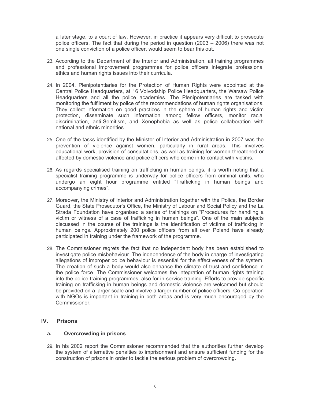a later stage, to a court of law. However, in practice it appears very difficult to prosecute police officers. The fact that during the period in question  $(2003 - 2006)$  there was not one single conviction of a police officer, would seem to bear this out.

- 23. According to the Department of the Interior and Administration, all training programmes and professional improvement programmes for police officers integrate professional ethics and human rights issues into their curricula.
- 24. In 2004, Plenipotentiaries for the Protection of Human Rights were appointed at the Central Police Headquarters, at 16 Voivodship Police Headquarters, the Warsaw Police Headquarters and all the police academies. The Plenipotentiaries are tasked with monitoring the fulfilment by police of the recommendations of human rights organisations. They collect information on good practices in the sphere of human rights and victim protection, disseminate such information among fellow officers, monitor racial discrimination, anti-Semitism, and Xenophobia as well as police collaboration with national and ethnic minorities.
- 25. One of the tasks identified by the Minister of Interior and Administration in 2007 was the prevention of violence against women, particularly in rural areas. This involves educational work, provision of consultations, as well as training for women threatened or affected by domestic violence and police officers who come in to contact with victims.
- 26. As regards specialised training on trafficking in human beings, it is worth noting that a specialist training programme is underway for police officers from criminal units, who undergo an eight hour programme entitled "Trafficking in human beings and accompanying crimes".
- 27. Moreover, the Ministry of Interior and Administration together with the Police, the Border Guard, the State Prosecutor's Office, the Ministry of Labour and Social Policy and the La Strada Foundation have organised a series of trainings on "Procedures for handling a victim or witness of a case of trafficking in human beings". One of the main subjects discussed in the course of the trainings is the identification of victims of trafficking in human beings. Approximately 200 police officers from all over Poland have already participated in training under the framework of the programme.
- 28. The Commissioner regrets the fact that no independent body has been established to investigate police misbehaviour. The independence of the body in charge of investigating allegations of improper police behaviour is essential for the effectiveness of the system. The creation of such a body would also enhance the climate of trust and confidence in the police force. The Commissioner welcomes the integration of human rights training into the police training programmes, also for in-service training. Efforts to provide specific training on trafficking in human beings and domestic violence are welcomed but should be provided on a larger scale and involve a larger number of police officers. Co-operation with NGOs is important in training in both areas and is very much encouraged by the Commissioner.

#### $IV.$ **Prisons**

#### **Overcrowding in prisons**  $a<sub>z</sub>$

29. In his 2002 report the Commissioner recommended that the authorities further develop the system of alternative penalties to imprisonment and ensure sufficient funding for the construction of prisons in order to tackle the serious problem of overcrowding.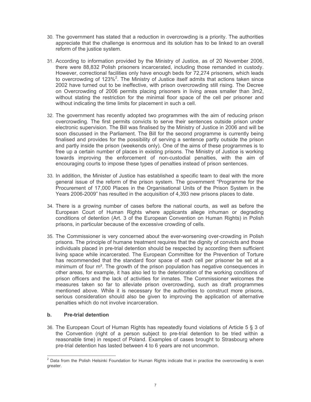- 30. The government has stated that a reduction in overcrowding is a priority. The authorities appreciate that the challenge is enormous and its solution has to be linked to an overall reform of the justice system.
- 31. According to information provided by the Ministry of Justice, as of 20 November 2006, there were 88,832 Polish prisoners incarcerated, including those remanded in custody. However, correctional facilities only have enough beds for 72,274 prisoners, which leads to overcrowding of  $123\%$ <sup>2</sup>. The Ministry of Justice itself admits that actions taken since 2002 have turned out to be ineffective, with prison overcrowding still rising. The Decree on Overcrowding of 2006 permits placing prisoners in living areas smaller than 3m2, without stating the restriction for the minimal floor space of the cell per prisoner and without indicating the time limits for placement in such a cell.
- 32. The government has recently adopted two programmes with the aim of reducing prison overcrowding. The first permits convicts to serve their sentences outside prison under electronic supervision. The Bill was finalised by the Ministry of Justice in 2006 and will be soon discussed in the Parliament. The Bill for the second programme is currently being finalised and provides for the possibility of serving a sentence partly outside the prison and partly inside the prison (weekends only). One of the aims of these programmes is to free up a certain number of places in existing prisons. The Ministry of Justice is working towards improving the enforcement of non-custodial penalties, with the aim of encouraging courts to impose these types of penalties instead of prison sentences.
- 33. In addition, the Minister of Justice has established a specific team to deal with the more general issue of the reform of the prison system. The government "Programme for the Procurement of 17,000 Places in the Organisational Units of the Prison System in the Years 2006-2009" has resulted in the acquisition of 4,393 new prisons places to date.
- 34. There is a growing number of cases before the national courts, as well as before the European Court of Human Rights where applicants allege inhuman or degrading conditions of detention (Art. 3 of the European Convention on Human Rights) in Polish prisons, in particular because of the excessive crowding of cells.
- 35. The Commissioner is very concerned about the ever-worsening over-crowding in Polish prisons. The principle of humane treatment requires that the dignity of convicts and those individuals placed in pre-trial detention should be respected by according them sufficient living space while incarcerated. The European Committee for the Prevention of Torture has recommended that the standard floor space of each cell per prisoner be set at a minimum of four m<sup>2</sup>. The growth of the prison population has negative consequences in other areas, for example, it has also led to the deterioration of the working conditions of prison officers and the lack of activities for inmates. The Commissioner welcomes the measures taken so far to alleviate prison overcrowding, such as draft programmes mentioned above. While it is necessary for the authorities to construct more prisons, serious consideration should also be given to improving the application of alternative penalties which do not involve incarceration.

#### $\mathbf{b}$ . **Pre-trial detention**

36. The European Court of Human Rights has repeatedly found violations of Article 5 § 3 of the Convention (right of a person subject to pre-trial detention to be tried within a reasonable time) in respect of Poland. Examples of cases brought to Strasbourg where pre-trial detention has lasted between 4 to 6 years are not uncommon.

<sup>&</sup>lt;sup>2</sup> Data from the Polish Helsinki Foundation for Human Rights indicate that in practice the overcrowding is even greater.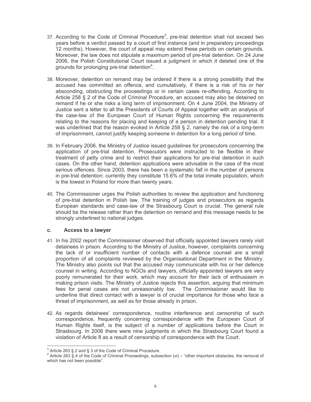- 37. According to the Code of Criminal Procedure<sup>3</sup>, pre-trial detention shall not exceed two years before a verdict passed by a court of first instance (and in preparatory proceedings 12 months). However, the court of appeal may extend these periods on certain grounds. Moreover, the law does not stipulate a maximum period of pre-trial detention. On 24 June 2006, the Polish Constitutional Court issued a judgment in which it deleted one of the grounds for prolonging pre-trial detention<sup>4</sup>.
- 38. Moreover, detention on remand may be ordered if there is a strong possibility that the accused has committed an offence, and cumulatively, if there is a risk of his or her absconding, obstructing the proceedings or in certain cases re-offending. According to Article 258 § 2 of the Code of Criminal Procedure, an accused may also be detained on remand if he or she risks a long term of imprisonment. On 4 June 2004, the Ministry of Justice sent a letter to all the Presidents of Courts of Appeal together with an analysis of the case-law of the European Court of Human Rights concerning the requirements relating to the reasons for placing and keeping of a person in detention pending trial. It was underlined that the reason evoked in Article 258 § 2, namely the risk of a long-term of imprisonment, cannot justify keeping someone in detention for a long period of time.
- 39. In February 2006, the Ministry of Justice issued quidelines for prosecutors concerning the application of pre-trial detention. Prosecutors were instructed to be flexible in their treatment of petty crime and to restrict their applications for pre-trial detention in such cases. On the other hand, detention applications were advisable in the case of the most serious offences. Since 2003, there has been a systematic fall in the number of persons in pre-trial detention: currently they constitute 15.6% of the total inmate population, which is the lowest in Poland for more than twenty years.
- 40. The Commissioner urges the Polish authorities to review the application and functioning of pre-trial detention in Polish law. The training of judges and prosecutors as regards European standards and case-law of the Strasbourg Court is crucial. The general rule should be the release rather than the detention on remand and this message needs to be strongly underlined to national judges.

#### $C<sub>1</sub>$ Access to a lawyer

- 41. In his 2002 report the Commissioner observed that officially appointed lawyers rarely visit detainees in prison. According to the Ministry of Justice, however, complaints concerning the lack of or insufficient number of contacts with a defence counsel are a small proportion of all complaints reviewed by the Organisational Department in the Ministry. The Ministry also points out that the accused may communicate with his or her defence counsel in writing. According to NGOs and lawyers, officially appointed lawyers are very poorly remunerated for their work, which may account for their lack of enthusiasm in making prison visits. The Ministry of Justice rejects this assertion, arguing that minimum fees for penal cases are not unreasonably low. The Commissioner would like to underline that direct contact with a lawyer is of crucial importance for those who face a threat of imprisonment, as well as for those already in prison.
- 42. As regards detainees' correspondence, routine interference and censorship of such correspondence, frequently concerning correspondence with the European Court of Human Rights itself, is the subject of a number of applications before the Court in Strasbourg. In 2006 there were nine judgments in which the Strasbourg Court found a violation of Article 8 as a result of censorship of correspondence with the Court.

 $3$  Article 263 § 2 and § 3 of the Code of Criminal Procedure.

Article 263 § 4 of the Code of Criminal Proceedings, subsection (vi) – "other important obstacles, the removal of which has not been possible".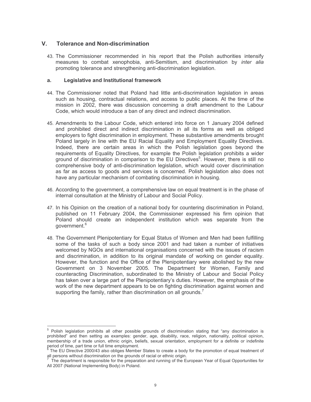#### $\mathbf{V}$ **Tolerance and Non-discrimination**

43. The Commissioner recommended in his report that the Polish authorities intensify measures to combat xenophobia, anti-Semitism, and discrimination by *inter alia* promoting tolerance and strengthening anti-discrimination legislation.

#### **Legislative and Institutional framework**  $a<sub>r</sub>$

- 44. The Commissioner noted that Poland had little anti-discrimination legislation in areas such as housing, contractual relations, and access to public places. At the time of the mission in 2002, there was discussion concerning a draft amendment to the Labour Code, which would introduce a ban of any direct and indirect discrimination.
- 45. Amendments to the Labour Code, which entered into force on 1 January 2004 defined and prohibited direct and indirect discrimination in all its forms as well as obliged employers to fight discrimination in employment. These substantive amendments brought Poland largely in line with the EU Racial Equality and Employment Equality Directives. Indeed, there are certain areas in which the Polish legislation goes beyond the requirements of Equality Directives, for example the Polish legislation prohibits a wider ground of discrimination in comparison to the EU Directives<sup>5</sup>. However, there is still no comprehensive body of anti-discrimination legislation, which would cover discrimination as far as access to goods and services is concerned. Polish legislation also does not have any particular mechanism of combating discrimination in housing.
- 46. According to the government, a comprehensive law on equal treatment is in the phase of internal consultation at the Ministry of Labour and Social Policy.
- 47. In his Opinion on the creation of a national body for countering discrimination in Poland. published on 11 February 2004, the Commissioner expressed his firm opinion that Poland should create an independent institution which was separate from the government.<sup>6</sup>
- 48. The Government Plenipotentiary for Equal Status of Women and Men had been fulfilling some of the tasks of such a body since 2001 and had taken a number of initiatives welcomed by NGOs and international organisations concerned with the issues of racism and discrimination, in addition to its original mandate of working on gender equality. However, the function and the Office of the Plenipotentiary were abolished by the new Government on 3 November 2005. The Department for Women, Family and counteracting Discrimination, subordinated to the Ministry of Labour and Social Policy has taken over a large part of the Plenipotentiary's duties. However, the emphasis of the work of the new department appears to be on fighting discrimination against women and supporting the family, rather than discrimination on all grounds.<sup>7</sup>

Polish legislation prohibits all other possible grounds of discrimination stating that "any discrimination is prohibited" and then setting as examples: gender, age, disability, race, religion, nationality, political opinion, membership of a trade union, ethnic origin, beliefs, sexual orientation, employment for a definite or indefinite period of time, part time or full time employment.

The EU Directive 2000/43 also obliges Member States to create a body for the promotion of equal treatment of all persons without discrimination on the grounds of racial or ethnic origin.

The department is responsible for the preparation and running of the European Year of Equal Opportunities for All 2007 (National Implementing Body) in Poland.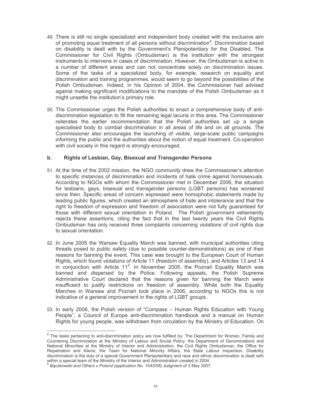- 49. There is still no single specialized and independent body created with the exclusive aim of promoting equal treatment of all persons without discrimination<sup>8</sup>. Discrimination based on disability is dealt with by the Government's Plenipotentiary for the Disabled. The Commissioner for Civil Rights (Ombudsman) is the institution with the strongest instruments to intervene in cases of discrimination. However, the Ombudsman is active in a number of different areas and can not concentrate solely on discrimination issues. Some of the tasks of a specialized body, for example, research on equality and discrimination and training programmes, would seem to go beyond the possibilities of the Polish Ombudsman. Indeed, in his Opinion of 2004, the Commissioner had advised against making significant modifications to the mandate of the Polish Ombudsman as it might unsettle the institution's primary role.
- 50. The Commissioner urges the Polish authorities to enact a comprehensive body of antidiscrimination legislation to fill the remaining legal lacuna in this area. The Commissioner reiterates the earlier recommendation that the Polish authorities set up a single specialised body to combat discrimination in all areas of life and on all grounds. The Commissioner also encourages the launching of visible, large-scale public campaigns informing the public and the authorities about the notion of equal treatment. Co-operation with civil society in this regard is strongly encouraged.

#### $b_{1}$ Rights of Lesbian, Gay, Bisexual and Transgender Persons

- 51. At the time of the 2002 mission, the NGO community drew the Commissioner's attention to specific instances of discrimination and incidents of hate crime against homosexuals. According to NGOs with whom the Commissioner met in December 2006, the situation for lesbians, gays, bisexual and transgender persons (LGBT persons) has worsened since then. Specific areas of concern expressed were homophobic statements made by leading public figures, which created an atmosphere of hate and intolerance and that the right to freedom of expression and freedom of association were not fully guaranteed for those with different sexual orientation in Poland. The Polish government vehemently rejects these assertions, citing the fact that in the last twenty years the Civil Rights Ombudsman has only received three complaints concerning violations of civil rights due to sexual orientation.
- 52. In June 2005 the Warsaw Equality March was banned, with municipal authorities citing threats posed to public safety (due to possible counter-demonstrations) as one of their reasons for banning the event. This case was brought to the European Court of Human Rights, which found violations of Article 11 (freedom of assembly), and Articles 13 and 14 in conjunction with Article  $11^9$ . In November 2005, the Poznań Equality March was banned and dispersed by the Police. Following appeals, the Polish Supreme Administrative Court declared that the reasons given for banning the March were insufficient to justify restrictions on freedom of assembly. While both the Equality Marches in Warsaw and Poznań took place in 2006, according to NGOs this is not indicative of a general improvement in the rights of LGBT groups.
- 53. In early 2006, the Polish version of "Compass Human Rights Education with Young People", a Council of Europe anti-discrimination handbook and a manual on Human Rights for young people, was withdrawn from circulation by the Ministry of Education. On

<sup>&</sup>lt;sup>8</sup> The tasks pertaining to anti-discrimination policy are now fulfilled by: The Department for Women, Family and Countering Discrimination at the Ministry of Labour and Social Policy, the Department of Denominations and National Minorities at the Ministry of Interior and Administration, the Civil Rights Ombudsman, the Office for Repatriation and Aliens, the Team for National Minority Affairs, the State Labour Inspection. Disability discrimination is the duty of a special Government Plenipotentiary and race and ethnic discrimination is dealt with within a special team of the Ministry of the Interior and Administration created in 2004.

 $^9$  Bączkowski and Others v Poland (application No. 1543/06) Judgment of 3 May 2007.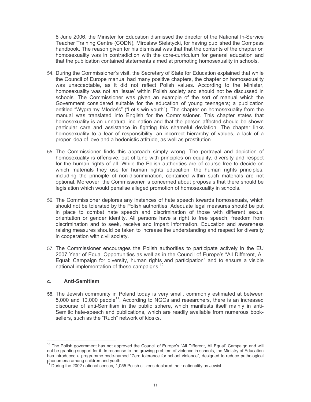8 June 2006, the Minister for Education dismissed the director of the National In-Service Teacher Training Centre (CODN), Mirosław Sielatycki, for having published the Compass handbook. The reason given for his dismissal was that that the contents of the chapter on homosexuality was in contradiction with the core-curriculum for general education and that the publication contained statements aimed at promoting homosexuality in schools.

- 54. During the Commissioner's visit, the Secretary of State for Education explained that while the Council of Europe manual had many positive chapters, the chapter on homosexuality was unacceptable, as it did not reflect Polish values. According to the Minister, homosexuality was not an 'issue' within Polish society and should not be discussed in schools. The Commissioner was given an example of the sort of manual which the Government considered suitable for the education of young teenagers; a publication entitled "Wygrajmy Młodość" ("Let's win youth"). The chapter on homosexuality from the manual was translated into English for the Commissioner. This chapter states that homosexuality is an unnatural inclination and that the person affected should be shown particular care and assistance in fighting this shameful deviation. The chapter links homosexuality to a fear of responsibility, an incorrect hierarchy of values, a lack of a proper idea of love and a hedonistic attitude, as well as prostitution.
- 55. The Commissioner finds this approach simply wrong. The portrayal and depiction of homosexuality is offensive, out of tune with principles on equality, diversity and respect for the human rights of all. While the Polish authorities are of course free to decide on which materials they use for human rights education, the human rights principles, including the principle of non-discrimination, contained within such materials are not optional. Moreover, the Commissioner is concerned about proposals that there should be legislation which would penalise alleged promotion of homosexuality in schools.
- 56. The Commissioner deplores any instances of hate speech towards homosexuals, which should not be tolerated by the Polish authorities. Adequate legal measures should be put in place to combat hate speech and discrimination of those with different sexual orientation or gender identity. All persons have a right to free speech, freedom from discrimination and to seek, receive and impart information. Education and awareness raising measures should be taken to increase the understanding and respect for diversity in cooperation with civil society.
- 57. The Commissioner encourages the Polish authorities to participate actively in the EU 2007 Year of Equal Opportunities as well as in the Council of Europe's "All Different, All Equal: Campaign for diversity, human rights and participation" and to ensure a visible national implementation of these campaigns.<sup>10</sup>

#### C. **Anti-Semitism**

58. The Jewish community in Poland today is very small, commonly estimated at between 5,000 and 10,000 people<sup>11</sup>. According to NGOs and researchers, there is an increased discourse of anti-Semitism in the public sphere, which manifests itself mainly in anti-Semitic hate-speech and publications, which are readily available from numerous booksellers, such as the "Ruch" network of kiosks.

<sup>&</sup>lt;sup>10</sup> The Polish government has not approved the Council of Europe's "All Different, All Equal" Campaign and will not be granting support for it. In response to the growing problem of violence in schools, the Ministry of Education has introduced a programme code-named "Zero tolerance for school violence", designed to reduce pathological phenomena among children and youth.

During the 2002 national census, 1,055 Polish citizens declared their nationality as Jewish.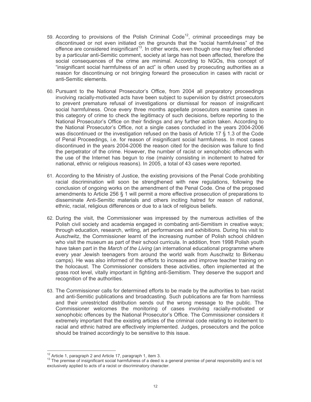- 59. According to provisions of the Polish Criminal Code<sup>12</sup>, criminal proceedings may be discontinued or not even initiated on the grounds that the "social harmfulness" of the offence are considered insignificant<sup>13</sup>. In other words, even though one may feel offended by a particular anti-Semitic comment, society at large has not been affected, therefore the social consequences of the crime are minimal. According to NGOs, this concept of "insignificant social harmfulness of an act" is often used by prosecuting authorities as a reason for discontinuing or not bringing forward the prosecution in cases with racist or anti-Semitic elements.
- 60. Pursuant to the National Prosecutor's Office, from 2004 all preparatory proceedings involving racially-motivated acts have been subject to supervision by district prosecutors to prevent premature refusal of investigations or dismissal for reason of insignificant social harmfulness. Once every three months appellate prosecutors examine cases in this category of crime to check the legitimacy of such decisions, before reporting to the National Prosecutor's Office on their findings and any further action taken. According to the National Prosecutor's Office, not a single cases concluded in the years 2004-2006 was discontinued or the investigation refused on the basis of Article 17 § 1.3 of the Code of Penal Proceedings, i.e. for reason of insignificant social harmfulness. In most cases discontinued in the years 2004-2006 the reason cited for the decision was failure to find the perpetrator of the crime. However, the number of racist or xenophobic offences with the use of the Internet has begun to rise (mainly consisting in incitement to hatred for national, ethnic or religious reasons). In 2005, a total of 43 cases were reported.
- 61. According to the Ministry of Justice, the existing provisions of the Penal Code prohibiting racial discrimination will soon be strengthened with new regulations, following the conclusion of ongoing works on the amendment of the Penal Code. One of the proposed amendments to Article 256 § 1 will permit a more effective prosecution of preparations to disseminate Anti-Semitic materials and others inciting hatred for reason of national, ethnic, racial, religious differences or due to a lack of religious beliefs.
- 62. During the visit, the Commissioner was impressed by the numerous activities of the Polish civil society and academia engaged in combating anti-Semitism in creative ways; through education, research, writing, art performances and exhibitions. During his visit to Auschwitz, the Commissioner learnt of the increasing number of Polish school children who visit the museum as part of their school curricula. In addition, from 1998 Polish youth have taken part in the March of the Living (an international educational programme where every year Jewish teenagers from around the world walk from Auschwitz to Birkenau camps). He was also informed of the efforts to increase and improve teacher training on the holocaust. The Commissioner considers these activities, often implemented at the grass root level, vitally important in fighting anti-Semitism. They deserve the support and recognition of the authorities.
- 63. The Commissioner calls for determined efforts to be made by the authorities to ban racist and anti-Semitic publications and broadcasting. Such publications are far from harmless and their unrestricted distribution sends out the wrong message to the public. The Commissioner welcomes the monitoring of cases involving racially-motivated or xenophobic offences by the National Prosecutor's Office. The Commissioner considers it extremely important that the existing articles of the criminal code relating to incitement to racial and ethnic hatred are effectively implemented. Judges, prosecutors and the police should be trained accordingly to be sensitive to this issue.

<sup>&</sup>lt;sup>12</sup> Article 1, paragraph 2 and Article 17, paragraph 1, item 3.

<sup>&</sup>lt;sup>13</sup> The premise of insignificant social harmfulness of a deed is a general premise of penal responsibility and is not exclusively applied to acts of a racist or discriminatory character.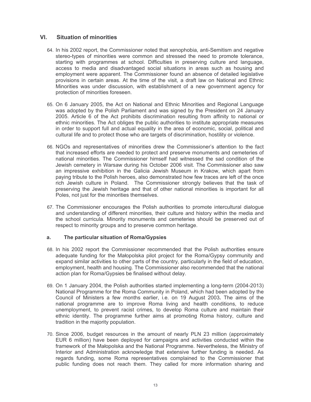#### $VI.$ **Situation of minorities**

- 64. In his 2002 report, the Commissioner noted that xenophobia, anti-Semitism and negative stereo-types of minorities were common and stressed the need to promote tolerance, starting with programmes at school. Difficulties in preserving culture and language, access to media and disadvantaged social situations in areas such as housing and employment were apparent. The Commissioner found an absence of detailed legislative provisions in certain areas. At the time of the visit, a draft law on National and Ethnic Minorities was under discussion, with establishment of a new government agency for protection of minorities foreseen.
- 65. On 6 January 2005, the Act on National and Ethnic Minorities and Regional Language was adopted by the Polish Parliament and was signed by the President on 24 January 2005. Article 6 of the Act prohibits discrimination resulting from affinity to national or ethnic minorities. The Act obliges the public authorities to institute appropriate measures in order to support full and actual equality in the area of economic, social, political and cultural life and to protect those who are targets of discrimination, hostility or violence.
- 66. NGOs and representatives of minorities drew the Commissioner's attention to the fact that increased efforts are needed to protect and preserve monuments and cemeteries of national minorities. The Commissioner himself had witnessed the sad condition of the Jewish cemetery in Warsaw during his October 2006 visit. The Commissioner also saw an impressive exhibition in the Galicia Jewish Museum in Krakow, which apart from paying tribute to the Polish heroes, also demonstrated how few traces are left of the once rich Jewish culture in Poland. The Commissioner strongly believes that the task of preserving the Jewish heritage and that of other national minorities is important for all Poles, not just for the minorities themselves.
- 67. The Commissioner encourages the Polish authorities to promote intercultural dialogue and understanding of different minorities, their culture and history within the media and the school curricula. Minority monuments and cemeteries should be preserved out of respect to minority groups and to preserve common heritage.

#### The particular situation of Roma/Gypsies  $a<sub>1</sub>$

- 68. In his 2002 report the Commissioner recommended that the Polish authorities ensure adequate funding for the Malopolska pilot project for the Roma/Gypsy community and expand similar activities to other parts of the country, particularly in the field of education, employment, health and housing. The Commissioner also recommended that the national action plan for Roma/Gypsies be finalised without delay.
- 69. On 1 January 2004, the Polish authorities started implementing a long-term (2004-2013) National Programme for the Roma Community in Poland, which had been adopted by the Council of Ministers a few months earlier, i.e. on 19 August 2003. The aims of the national programme are to improve Roma living and health conditions, to reduce unemployment, to prevent racist crimes, to develop Roma culture and maintain their ethnic identity. The programme further aims at promoting Roma history, culture and tradition in the majority population.
- 70. Since 2006, budget resources in the amount of nearly PLN 23 million (approximately EUR 6 million) have been deployed for campaigns and activities conducted within the framework of the Małopolska and the National Programme. Nevertheless, the Ministry of Interior and Administration acknowledge that extensive further funding is needed. As regards funding, some Roma representatives complained to the Commissioner that public funding does not reach them. They called for more information sharing and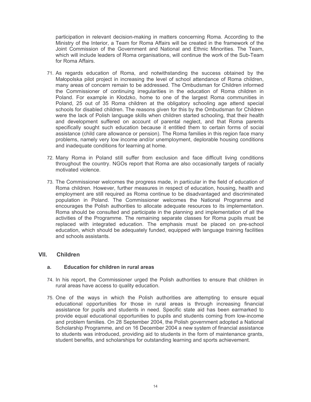participation in relevant decision-making in matters concerning Roma. According to the Ministry of the Interior, a Team for Roma Affairs will be created in the framework of the Joint Commission of the Government and National and Ethnic Minorities. The Team, which will include leaders of Roma organisations, will continue the work of the Sub-Team for Roma Affairs.

- 71. As regards education of Roma, and notwithstanding the success obtained by the Malopolska pilot project in increasing the level of school attendance of Roma children, many areas of concern remain to be addressed. The Ombudsman for Children informed the Commissioner of continuing irregularities in the education of Roma children in Poland. For example in Kłodzko, home to one of the largest Roma communities in Poland, 25 out of 35 Roma children at the obligatory schooling age attend special schools for disabled children. The reasons given for this by the Ombudsman for Children were the lack of Polish language skills when children started schooling, that their health and development suffered on account of parental neglect, and that Roma parents specifically sought such education because it entitled them to certain forms of social assistance (child care allowance or pension). The Roma families in this region face many problems, namely very low income and/or unemployment, deplorable housing conditions and inadequate conditions for learning at home.
- 72. Many Roma in Poland still suffer from exclusion and face difficult living conditions throughout the country. NGOs report that Roma are also occasionally targets of racially motivated violence.
- 73. The Commissioner welcomes the progress made, in particular in the field of education of Roma children. However, further measures in respect of education, housing, health and employment are still required as Roma continue to be disadvantaged and discriminated population in Poland. The Commissioner welcomes the National Programme and encourages the Polish authorities to allocate adequate resources to its implementation. Roma should be consulted and participate in the planning and implementation of all the activities of the Programme. The remaining separate classes for Roma pupils must be replaced with integrated education. The emphasis must be placed on pre-school education, which should be adequately funded, equipped with language training facilities and schools assistants

#### VII. **Children**

#### Education for children in rural areas  $a<sub>z</sub>$

- 74. In his report, the Commissioner urged the Polish authorities to ensure that children in rural areas have access to quality education.
- 75. One of the ways in which the Polish authorities are attempting to ensure equal educational opportunities for those in rural areas is through increasing financial assistance for pupils and students in need. Specific state aid has been earmarked to provide equal educational opportunities to pupils and students coming from low-income and problem families. On 28 September 2004, the Polish government adopted a National Scholarship Programme, and on 16 December 2004 a new system of financial assistance to students was introduced, providing aid to students in the form of maintenance grants, student benefits, and scholarships for outstanding learning and sports achievement.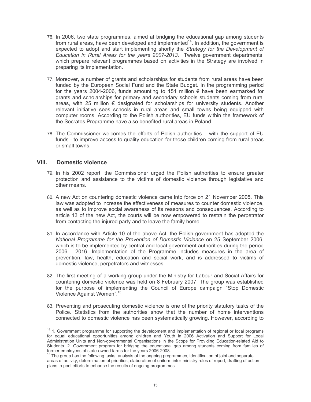- 76. In 2006, two state programmes, aimed at bridging the educational gap among students from rural areas, have been developed and implemented<sup>14</sup>. In addition, the government is expected to adopt and start implementing shortly the Strategy for the Development of Education in Rural Areas for the years 2007-2013. Twelve government departments, which prepare relevant programmes based on activities in the Strategy are involved in preparing its implementation.
- 77. Moreover, a number of grants and scholarships for students from rural areas have been funded by the European Social Fund and the State Budget. In the programming period for the years 2004-2006, funds amounting to 151 million € have been earmarked for grants and scholarships for primary and secondary schools students coming from rural areas, with 25 million  $\epsilon$  designated for scholarships for university students. Another relevant initiative sees schools in rural areas and small towns being equipped with computer rooms. According to the Polish authorities, EU funds within the framework of the Socrates Programme have also benefited rural areas in Poland.
- 78. The Commissioner welcomes the efforts of Polish authorities with the support of EU funds - to improve access to quality education for those children coming from rural areas or small towns.

#### VIII. **Domestic violence**

- 79. In his 2002 report, the Commissioner urged the Polish authorities to ensure greater protection and assistance to the victims of domestic violence through legislative and other means.
- 80. A new Act on countering domestic violence came into force on 21 November 2005. This law was adopted to increase the effectiveness of measures to counter domestic violence, as well as to improve social awareness of its reasons and consequences. According to article 13 of the new Act, the courts will be now empowered to restrain the perpetrator from contacting the injured party and to leave the family home.
- 81. In accordance with Article 10 of the above Act, the Polish government has adopted the National Programme for the Prevention of Domestic Violence on 25 September 2006, which is to be implemented by central and local government authorities during the period 2006 - 2016. Implementation of the Programme includes measures in the area of prevention, law, health, education and social work, and is addressed to victims of domestic violence, perpetrators and witnesses.
- 82. The first meeting of a working group under the Ministry for Labour and Social Affairs for countering domestic violence was held on 8 February 2007. The group was established for the purpose of implementing the Council of Europe campaign "Stop Domestic Violence Against Women".<sup>15</sup>
- 83. Preventing and prosecuting domestic violence is one of the priority statutory tasks of the Police. Statistics from the authorities show that the number of home interventions connected to domestic violence has been systematically growing. However, according to

<sup>&</sup>lt;sup>14</sup> 1. Government programme for supporting the development and implementation of regional or local programs for equal educational opportunities among children and Youth in 2006 Activation and Support for Local Administration Units and Non-governmental Organisations in the Scope for Providing Education-related Aid to Students. 2. Government program for bridging the educational gap among students coming from families of former employees of state-owned farms for the years 2006-2008.

areas of activity, determination of priorities, elaboration of uniform inter-ministry rules of report, drafting of action plans to pool efforts to enhance the results of ongoing programmes.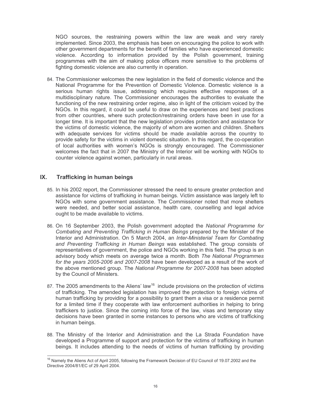NGO sources, the restraining powers within the law are weak and very rarely implemented. Since 2003, the emphasis has been on encouraging the police to work with other government departments for the benefit of families who have experienced domestic violence. According to information provided by the Polish government, training programmes with the aim of making police officers more sensitive to the problems of fighting domestic violence are also currently in operation.

84. The Commissioner welcomes the new legislation in the field of domestic violence and the National Programme for the Prevention of Domestic Violence. Domestic violence is a serious human rights issue, addressing which requires effective responses of a multidisciplinary nature. The Commissioner encourages the authorities to evaluate the functioning of the new restraining order regime, also in light of the criticism voiced by the NGOs. In this regard, it could be useful to draw on the experiences and best practices from other countries, where such protection/restraining orders have been in use for a longer time. It is important that the new legislation provides protection and assistance for the victims of domestic violence, the majority of whom are women and children. Shelters with adequate services for victims should be made available across the country to provide safety for the victims in violent domestic situation. In this regard, the co-operation of local authorities with women's NGOs is strongly encouraged. The Commissioner welcomes the fact that in 2007 the Ministry of the Interior will be working with NGOs to counter violence against women, particularly in rural areas.

#### $IX.$ **Trafficking in human beings**

- 85. In his 2002 report, the Commissioner stressed the need to ensure greater protection and assistance for victims of trafficking in human beings. Victim assistance was largely left to NGOs with some government assistance. The Commissioner noted that more shelters were needed, and better social assistance, health care, counselling and legal advice ought to be made available to victims.
- 86. On 16 September 2003, the Polish government adopted the National Programme for Combating and Preventing Trafficking in Human Beings prepared by the Minister of the Interior and Administration. On 5 March 2004, an Inter-Ministerial Team for Combating and Preventing Trafficking in Human Beings was established. The group consists of representatives of government, the police and NGOs working in this field. The group is an advisory body which meets on average twice a month. Both The National Programmes for the years 2005-2006 and 2007-2008 have been developed as a result of the work of the above mentioned group. The National Programme for 2007-2008 has been adopted by the Council of Ministers.
- 87. The 2005 amendments to the Aliens' law<sup>16</sup> include provisions on the protection of victims of trafficking. The amended legislation has improved the protection to foreign victims of human trafficking by providing for a possibility to grant them a visa or a residence permit for a limited time if they cooperate with law enforcement authorities in helping to bring traffickers to justice. Since the coming into force of the law, visas and temporary stay decisions have been granted in some instances to persons who are victims of trafficking in human beings.
- 88. The Ministry of the Interior and Administration and the La Strada Foundation have developed a Programme of support and protection for the victims of trafficking in human beings. It includes attending to the needs of victims of human trafficking by providing

<sup>&</sup>lt;sup>16</sup> Namely the Aliens Act of April 2005, following the Framework Decision of EU Council of 19.07.2002 and the Directive 2004/81/EC of 29 April 2004.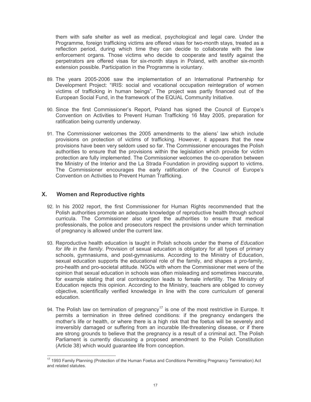them with safe shelter as well as medical, psychological and legal care. Under the Programme, foreign trafficking victims are offered visas for two-month stays, treated as a reflection period, during which time they can decide to collaborate with the law enforcement organs. Those victims who decide to cooperate and testify against the perpetrators are offered visas for six-month stays in Poland, with another six-month extension possible. Participation in the Programme is voluntary.

- 89. The years 2005-2006 saw the implementation of an International Partnership for Development Project: "IRIS: social and vocational occupation reintegration of women victims of trafficking in human beings". The project was partly financed out of the European Social Fund, in the framework of the EQUAL Community Initiative.
- 90. Since the first Commissioner's Report, Poland has signed the Council of Europe's Convention on Activities to Prevent Human Trafficking 16 May 2005, preparation for ratification being currently underway.
- 91. The Commissioner welcomes the 2005 amendments to the aliens' law which include provisions on protection of victims of trafficking. However, it appears that the new provisions have been very seldom used so far. The Commissioner encourages the Polish authorities to ensure that the provisions within the legislation which provide for victim protection are fully implemented. The Commissioner welcomes the co-operation between the Ministry of the Interior and the La Strada Foundation in providing support to victims. The Commissioner encourages the early ratification of the Council of Europe's Convention on Activities to Prevent Human Trafficking.

#### **X. Women and Reproductive rights**

- 92. In his 2002 report, the first Commissioner for Human Rights recommended that the Polish authorities promote an adequate knowledge of reproductive health through school curricula. The Commissioner also urged the authorities to ensure that medical professionals, the police and prosecutors respect the provisions under which termination of pregnancy is allowed under the current law.
- 93. Reproductive health education is taught in Polish schools under the theme of Education for life in the family. Provision of sexual education is obligatory for all types of primary schools, gymnasiums, and post-gymnasiums. According to the Ministry of Education, sexual education supports the educational role of the family, and shapes a pro-family, pro-health and pro-societal attitude. NGOs with whom the Commissioner met were of the opinion that sexual education in schools was often misleading and sometimes inaccurate, for example stating that oral contraception leads to female infertility. The Ministry of Education rejects this opinion. According to the Ministry, teachers are obliged to convey objective, scientifically verified knowledge in line with the core curriculum of general education.
- 94. The Polish law on termination of pregnancy<sup>17</sup> is one of the most restrictive in Europe. It permits a termination in three defined conditions: if the pregnancy endangers the mother's life or health, or where there is a high risk that the foetus will be severely and irreversibly damaged or suffering from an incurable life-threatening disease, or if there are strong grounds to believe that the pregnancy is a result of a criminal act. The Polish Parliament is currently discussing a proposed amendment to the Polish Constitution (Article 38) which would quarantee life from conception.

<sup>&</sup>lt;sup>17</sup> 1993 Family Planning (Protection of the Human Foetus and Conditions Permitting Pregnancy Termination) Act and related statutes.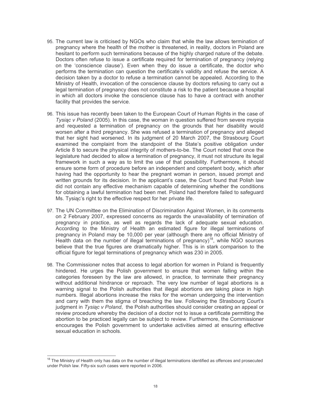- 95. The current law is criticised by NGOs who claim that while the law allows termination of pregnancy where the health of the mother is threatened, in reality, doctors in Poland are hesitant to perform such terminations because of the highly charged nature of the debate. Doctors often refuse to issue a certificate required for termination of pregnancy (relying on the 'conscience clause'). Even when they do issue a certificate, the doctor who performs the termination can question the certificate's validity and refuse the service. A decision taken by a doctor to refuse a termination cannot be appealed. According to the Ministry of Health, invocation of the conscience clause by doctors refusing to carry out a legal termination of pregnancy does not constitute a risk to the patient because a hospital in which all doctors invoke the conscience clause has to have a contract with another facility that provides the service.
- 96. This issue has recently been taken to the European Court of Human Rights in the case of Tysigc v Poland (2005). In this case, the woman in question suffered from severe myopia and requested a termination of pregnancy on the grounds that her disability would worsen after a third pregnancy. She was refused a termination of pregnancy and alleged that her sight had worsened. In its judgment of 20 March 2007, the Strasbourg Court examined the complaint from the standpoint of the State's positive obligation under Article 8 to secure the physical integrity of mothers-to-be. The Court noted that once the legislature had decided to allow a termination of pregnancy, it must not structure its legal framework in such a way as to limit the use of that possibility. Furthermore, it should ensure some form of procedure before an independent and competent body, which after having had the opportunity to hear the pregnant woman in person, issued prompt and written grounds for its decision. In the applicant's case, the Court found that Polish law did not contain any effective mechanism capable of determining whether the conditions for obtaining a lawful termination had been met. Poland had therefore failed to safeguard Ms. Tysiac's right to the effective respect for her private life.
- 97. The UN Committee on the Elimination of Discrimination Against Women, in its comments on 2 February 2007, expressed concerns as regards the unavailability of termination of pregnancy in practice, as well as regards the lack of adequate sexual education. According to the Ministry of Health an estimated figure for illegal terminations of pregnancy in Poland may be 10,000 per year (although there are no official Ministry of Health data on the number of illegal terminations of pregnancy)<sup>18</sup>, while NGO sources believe that the true figures are dramatically higher. This is in stark comparison to the official figure for legal terminations of pregnancy which was 230 in 2005.
- 98. The Commissioner notes that access to legal abortion for women in Poland is frequently hindered. He urges the Polish government to ensure that women falling within the categories foreseen by the law are allowed, in practice, to terminate their pregnancy without additional hindrance or reproach. The very low number of legal abortions is a warning signal to the Polish authorities that illegal abortions are taking place in high numbers. Illegal abortions increase the risks for the woman undergoing the intervention and carry with them the stigma of breaching the law. Following the Strasbourg Court's judgment in Tysigc v Poland, the Polish authorities should consider creating an appeal or review procedure whereby the decision of a doctor not to issue a certificate permitting the abortion to be practiced legally can be subject to review. Furthermore, the Commissioner encourages the Polish government to undertake activities aimed at ensuring effective sexual education in schools.

<sup>&</sup>lt;sup>18</sup> The Ministry of Health only has data on the number of illegal terminations identified as offences and prosecuted under Polish law. Fifty-six such cases were reported in 2006.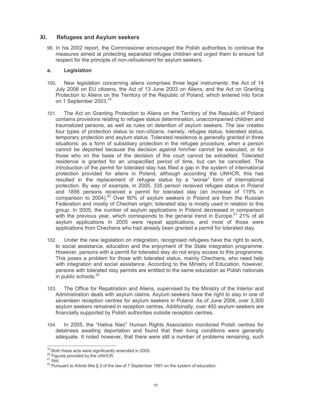#### $XL$ **Refugees and Asylum seekers**

99. In his 2002 report, the Commissioner encouraged the Polish authorities to continue the measures aimed at protecting separated refugee children and urged them to ensure full respect for the principle of non-refoulement for asylum seekers.

#### Legislation  $a<sub>z</sub>$

- $100.$ New legislation concerning aliens comprises three legal instruments: the Act of 14 July 2006 on EU citizens, the Act of 13 June 2003 on Aliens, and the Act on Granting Protection to Aliens on the Territory of the Republic of Poland, which entered into force on 1 September 2003.<sup>19</sup>
- The Act on Granting Protection to Aliens on the Territory of the Republic of Poland  $101$ contains provisions relating to refugee status determination, unaccompanied children and traumatized persons, as well as rules on detention of asylum seekers. The law creates four types of protection status to non-citizens, namely, refugee status, tolerated status, temporary protection and asylum status. Tolerated residence is generally granted in three situations: as a form of subsidiary protection in the refugee procedure, when a person cannot be deported because the decision against him/her cannot be executed, or for those who on the basis of the decision of the court cannot be extradited. Tolerated residence is granted for an unspecified period of time, but can be cancelled. The introduction of the permit for tolerated stay has filled a gap in the system of international protection provided for aliens in Poland, although according the UNHCR, this has resulted in the replacement of refugee status by a "worse" form of international protection. By way of example, in 2005, 335 person received refugee status in Poland and 1856 persons received a permit for tolerated stay (an increase of 119% in comparison to 2004).<sup>20</sup> Over 90% of asylum seekers in Poland are from the Russian Federation and mostly of Chechen origin; tolerated stay is mostly used in relation to this group. In 2005, the number of asylum applications in Poland decreased in comparison with the previous year, which corresponds to the general trend in Europe.<sup>21</sup> 21% of all asylum applications in 2005 were repeat applications, and most of those were applications from Chechens who had already been granted a permit for tolerated stay.
- 102. Under the new legislation on integration, recognised refugees have the right to work, to social assistance, education and the enjoyment of the State integration programme. However, persons with a permit for tolerated stay do not enjoy access to this programme. This poses a problem for those with tolerated status, mainly Chechens, who need help with integration and social assistance. According to the Ministry of Education, however, persons with tolerated stay permits are entitled to the same education as Polish nationals in public schools.<sup>22</sup>
- The Office for Repatriation and Aliens, supervised by the Ministry of the Interior and  $103.$ Administration deals with asylum claims. Asylum seekers have the right to stay in one of seventeen reception centres for asylum seekers in Poland. As of June 2006, over 3,300 asylum seekers remained in reception centres. Additionally, over 400 asylum seekers are financially supported by Polish authorities outside reception centres.
- In 2005, the "Halina Nieć" Human Rights Association monitored Polish centres for 104. detainees awaiting deportation and found that their living conditions were generally adequate. It noted however, that there were still a number of problems remaining, such

<sup>&</sup>lt;sup>19</sup> Both these acts were significantly amended in 2005.

<sup>&</sup>lt;sup>20</sup> Figures provided by the UNHCR.

 $21$  lbid.

<sup>&</sup>lt;sup>22</sup> Pursuant to Article 94a § 2 of the law of 7 September 1991 on the system of education.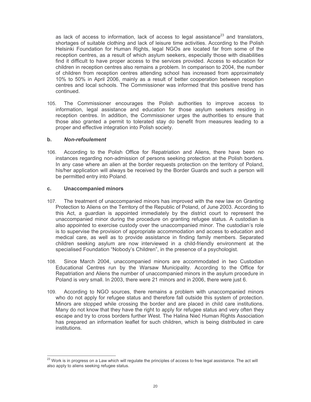as lack of access to information, lack of access to legal assistance<sup>23</sup> and translators, shortages of suitable clothing and lack of leisure time activities. According to the Polish Helsinki Foundation for Human Rights, legal NGOs are located far from some of the reception centres, as a result of which asylum seekers, especially those with disabilities find it difficult to have proper access to the services provided. Access to education for children in reception centres also remains a problem. In comparison to 2004, the number of children from reception centres attending school has increased from approximately 10% to 50% in April 2006, mainly as a result of better cooperation between reception centres and local schools. The Commissioner was informed that this positive trend has continued.

105. The Commissioner encourages the Polish authorities to improve access to information, legal assistance and education for those asylum seekers residing in reception centres. In addition, the Commissioner urges the authorities to ensure that those also granted a permit to tolerated stay do benefit from measures leading to a proper and effective integration into Polish society.

#### **Non-refoulement**  $\mathbf b$ .

According to the Polish Office for Repatriation and Aliens, there have been no  $106.$ instances regarding non-admission of persons seeking protection at the Polish borders. In any case where an alien at the border requests protection on the territory of Poland, his/her application will always be received by the Border Guards and such a person will be permitted entry into Poland.

#### **Unaccompanied minors**  $\mathbf{C}$ .

- 107. The treatment of unaccompanied minors has improved with the new law on Granting Protection to Aliens on the Territory of the Republic of Poland, of June 2003. According to this Act, a quardian is appointed immediately by the district court to represent the unaccompanied minor during the procedure on granting refugee status. A custodian is also appointed to exercise custody over the unaccompanied minor. The custodian's role is to supervise the provision of appropriate accommodation and access to education and medical care, as well as to provide assistance in finding family members. Separated children seeking asylum are now interviewed in a child-friendly environment at the specialised Foundation "Nobody's Children", in the presence of a psychologist.
- Since March 2004, unaccompanied minors are accommodated in two Custodian  $108.$ Educational Centres run by the Warsaw Municipality. According to the Office for Repatriation and Aliens the number of unaccompanied minors in the asylum procedure in Poland is very small. In 2003, there were 21 minors and in 2006, there were just 6.
- According to NGO sources, there remains a problem with unaccompanied minors 109. who do not apply for refugee status and therefore fall outside this system of protection. Minors are stopped while crossing the border and are placed in child care institutions. Many do not know that they have the right to apply for refugee status and very often they escape and try to cross borders further West. The Halina Nieć Human Rights Association has prepared an information leaflet for such children, which is being distributed in care institutions

<sup>&</sup>lt;sup>23</sup> Work is in progress on a Law which will regulate the principles of access to free legal assistance. The act will also apply to aliens seeking refugee status.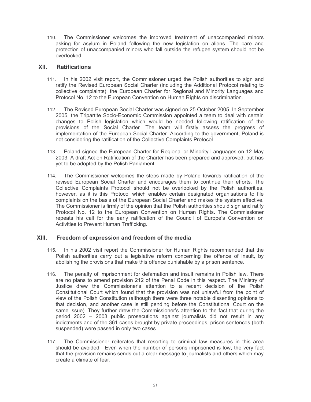110. The Commissioner welcomes the improved treatment of unaccompanied minors asking for asylum in Poland following the new legislation on aliens. The care and protection of unaccompanied minors who fall outside the refugee system should not be overlooked.

#### XII. **Ratifications**

- In his 2002 visit report, the Commissioner urged the Polish authorities to sign and  $111.$ ratify the Revised European Social Charter (including the Additional Protocol relating to collective complaints), the European Charter for Regional and Minority Languages and Protocol No. 12 to the European Convention on Human Rights on discrimination.
- The Revised European Social Charter was signed on 25 October 2005. In September  $112.$ 2005, the Tripartite Socio-Economic Commission appointed a team to deal with certain changes to Polish legislation which would be needed following ratification of the provisions of the Social Charter. The team will firstly assess the progress of implementation of the European Social Charter. According to the government, Poland is not considering the ratification of the Collective Complaints Protocol.
- $113.$ Poland signed the European Charter for Regional or Minority Languages on 12 May 2003. A draft Act on Ratification of the Charter has been prepared and approved, but has yet to be adopted by the Polish Parliament.
- 114. The Commissioner welcomes the steps made by Poland towards ratification of the revised European Social Charter and encourages them to continue their efforts. The Collective Complaints Protocol should not be overlooked by the Polish authorities, however, as it is this Protocol which enables certain designated organisations to file complaints on the basis of the European Social Charter and makes the system effective. The Commissioner is firmly of the opinion that the Polish authorities should sign and ratify Protocol No. 12 to the European Convention on Human Rights. The Commissioner repeats his call for the early ratification of the Council of Europe's Convention on Activities to Prevent Human Trafficking.

#### XIII. Freedom of expression and freedom of the media

- In his 2002 visit report the Commissioner for Human Rights recommended that the  $115.$ Polish authorities carry out a legislative reform concerning the offence of insult, by abolishing the provisions that make this offence punishable by a prison sentence.
- 116. The penalty of imprisonment for defamation and insult remains in Polish law. There are no plans to amend provision 212 of the Penal Code in this respect. The Ministry of Justice drew the Commissioner's attention to a recent decision of the Polish Constitutional Court which found that the provision was not unlawful from the point of view of the Polish Constitution (although there were three notable dissenting opinions to that decision, and another case is still pending before the Constitutional Court on the same issue). They further drew the Commissioner's attention to the fact that during the period 2002 - 2003 public prosecutions against journalists did not result in any indictments and of the 361 cases brought by private proceedings, prison sentences (both suspended) were passed in only two cases.
- 117. The Commissioner reiterates that resorting to criminal law measures in this area should be avoided. Even when the number of persons imprisoned is low, the very fact that the provision remains sends out a clear message to journalists and others which may create a climate of fear.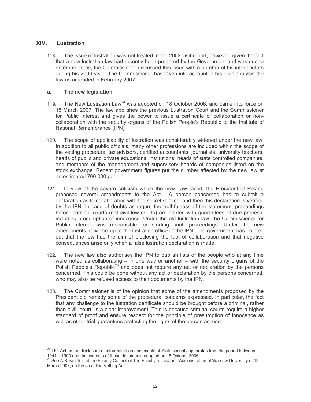#### **XIV** Lustration

The issue of lustration was not treated in the 2002 visit report, however, given the fact 118. that a new lustration law had recently been prepared by the Government and was due to enter into force, the Commissioner discussed this issue with a number of his interlocutors during his 2006 visit. The Commissioner has taken into account in his brief analysis the law as amended in February 2007.

#### The new legislation  $a<sub>r</sub>$

- The New Lustration Law<sup>24</sup> was adopted on 18 October 2006, and came into force on  $119.$ 15 March 2007. The law abolishes the previous Lustration Court and the Commissioner for Public Interest and gives the power to issue a certificate of collaboration or noncollaboration with the security organs of the Polish People's Republic to the Institute of National Remembrance (IPN).
- The scope of applicability of lustration was considerably widened under the new law.  $120.$ In addition to all public officials, many other professions are included within the scope of the vetting procedure: tax advisors, certified accountants, journalists, university teachers, heads of public and private educational institutions, heads of state controlled companies, and members of the management and supervisory boards of companies listed on the stock exchange. Recent government figures put the number affected by the new law at an estimated 700,000 people.
- In view of the severe criticism which the new Law faced, the President of Poland  $121$ proposed several amendments to the Act. A person concerned has to submit a declaration as to collaboration with the secret service, and then this declaration is verified by the IPN. In case of doubts as regard the truthfulness of the statement, proceedings before criminal courts (not civil law courts) are started with quarantees of due process, including presumption of innocence. Under the old lustration law, the Commissioner for Public Interest was responsible for starting such proceedings. Under the new amendments, it will be up to the lustration office of the IPN. The government has pointed out that the law has the aim of disclosing the fact of collaboration and that negative consequences arise only when a false lustration declaration is made.
- 122. The new law also authorises the IPN to publish lists of the people who at any time were noted as collaborating  $-$  in one way or another  $-$  with the security organs of the Polish People's Republic<sup>25</sup> and does not require any act or declaration by the persons concerned. This could be done without any act or declaration by the persons concerned, who may also be refused access to their documents by the IPN.
- $123.$ The Commissioner is of the opinion that some of the amendments proposed by the President did remedy some of the procedural concerns expressed. In particular, the fact that any challenge to the lustration certificate should be brought before a criminal, rather than civil, court, is a clear improvement. This is because criminal courts require a higher standard of proof and ensure respect for the principle of presumption of innocence as well as other trial guarantees protecting the rights of the person accused.

<sup>&</sup>lt;sup>24</sup> The Act on the disclosure of information on documents of State security apparatus from the period between 1944 – 1990 and the contents of those documents adopted on 18 October 2006.

<sup>&</sup>lt;sup>25</sup> See A Resolution of the Faculty Council of The Faculty of Law and Administration of Warsaw University of 19 March 2007, on the so-called Vetting Act.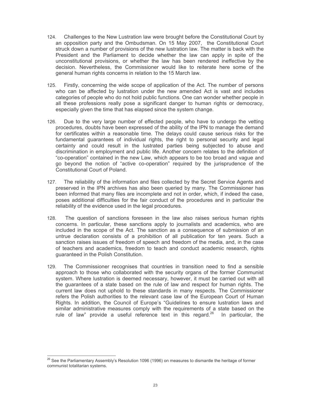- 124. Challenges to the New Lustration law were brought before the Constitutional Court by an opposition party and the Ombudsman. On 15 May 2007, the Constitutional Court struck down a number of provisions of the new lustration law. The matter is back with the President and the Parliament to decide whether the law can apply in spite of the unconstitutional provisions, or whether the law has been rendered ineffective by the decision. Nevertheless, the Commissioner would like to reiterate here some of the general human rights concerns in relation to the 15 March law.
- 125. Firstly, concerning the wide scope of application of the Act. The number of persons who can be affected by lustration under the new amended Act is vast and includes categories of people who do not hold public functions. One can wonder whether people in all these professions really pose a significant danger to human rights or democracy, especially given the time that has elapsed since the system change.
- 126. Due to the very large number of effected people, who have to undergo the vetting procedures, doubts have been expressed of the ability of the IPN to manage the demand for certificates within a reasonable time. The delays could cause serious risks for the fundamental guarantees of individual rights, the right to personal security and legal certainty and could result in the lustrated parties being subjected to abuse and discrimination in employment and public life. Another concern relates to the definition of "co-operation" contained in the new Law, which appears to be too broad and vague and go beyond the notion of "active co-operation" required by the jurisprudence of the **Constitutional Court of Poland.**
- 127. The reliability of the information and files collected by the Secret Service Agents and preserved in the IPN archives has also been queried by many. The Commissioner has been informed that many files are incomplete and not in order, which, if indeed the case, poses additional difficulties for the fair conduct of the procedures and in particular the reliability of the evidence used in the legal procedures.
- 128. The question of sanctions foreseen in the law also raises serious human rights concerns. In particular, these sanctions apply to journalists and academics, who are included in the scope of the Act. The sanction as a consequence of submission of an untrue declaration consists of a prohibition of all publication for ten years. Such a sanction raises issues of freedom of speech and freedom of the media, and, in the case of teachers and academics, freedom to teach and conduct academic research, rights guaranteed in the Polish Constitution.
- The Commissioner recognises that countries in transition need to find a sensible 129. approach to those who collaborated with the security organs of the former Communist system. Where lustration is deemed necessary, however, it must be carried out with all the guarantees of a state based on the rule of law and respect for human rights. The current law does not uphold to these standards in many respects. The Commissioner refers the Polish authorities to the relevant case law of the European Court of Human Rights. In addition, the Council of Europe's "Guidelines to ensure lustration laws and similar administrative measures comply with the requirements of a state based on the rule of law" provide a useful reference text in this regard.<sup>26</sup> In particular, the

<sup>&</sup>lt;sup>26</sup> See the Parliamentary Assembly's Resolution 1096 (1996) on measures to dismantle the heritage of former communist totalitarian systems.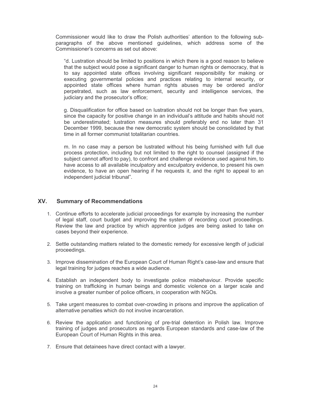Commissioner would like to draw the Polish authorities' attention to the following subparagraphs of the above mentioned guidelines, which address some of the Commissioner's concerns as set out above:

"d. Lustration should be limited to positions in which there is a good reason to believe that the subject would pose a significant danger to human rights or democracy, that is to say appointed state offices involving significant responsibility for making or executing governmental policies and practices relating to internal security, or appointed state offices where human rights abuses may be ordered and/or perpetrated, such as law enforcement, security and intelligence services, the judiciary and the prosecutor's office;

g. Disqualification for office based on lustration should not be longer than five years, since the capacity for positive change in an individual's attitude and habits should not be underestimated; lustration measures should preferably end no later than 31 December 1999, because the new democratic system should be consolidated by that time in all former communist totalitarian countries.

m. In no case may a person be lustrated without his being furnished with full due process protection, including but not limited to the right to counsel (assigned if the subject cannot afford to pay), to confront and challenge evidence used against him, to have access to all available inculpatory and exculpatory evidence, to present his own evidence, to have an open hearing if he requests it, and the right to appeal to an independent judicial tribunal".

#### XV. **Summary of Recommendations**

- 1. Continue efforts to accelerate judicial proceedings for example by increasing the number of legal staff, court budget and improving the system of recording court proceedings. Review the law and practice by which apprentice judges are being asked to take on cases beyond their experience.
- 2. Settle outstanding matters related to the domestic remedy for excessive length of judicial proceedings.
- 3. Improve dissemination of the European Court of Human Right's case-law and ensure that legal training for judges reaches a wide audience.
- 4. Establish an independent body to investigate police misbehaviour. Provide specific training on trafficking in human beings and domestic violence on a larger scale and involve a greater number of police officers, in cooperation with NGOs.
- 5. Take urgent measures to combat over-crowding in prisons and improve the application of alternative penalties which do not involve incarceration.
- 6. Review the application and functioning of pre-trial detention in Polish law. Improve training of judges and prosecutors as regards European standards and case-law of the European Court of Human Rights in this area.
- 7. Ensure that detainees have direct contact with a lawyer.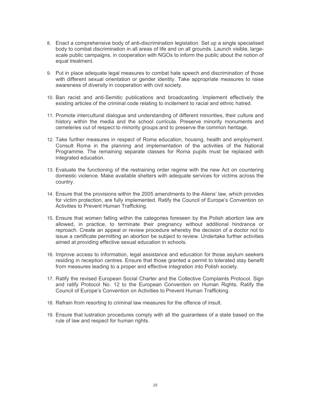- 8. Enact a comprehensive body of anti-discrimination legislation. Set up a single specialised body to combat discrimination in all areas of life and on all grounds. Launch visible, largescale public campaigns, in cooperation with NGOs to inform the public about the notion of equal treatment.
- 9. Put in place adequate legal measures to combat hate speech and discrimination of those with different sexual orientation or gender identity. Take appropriate measures to raise awareness of diversity in cooperation with civil society.
- 10. Ban racist and anti-Semitic publications and broadcasting. Implement effectively the existing articles of the criminal code relating to incitement to racial and ethnic hatred.
- 11. Promote intercultural dialogue and understanding of different minorities, their culture and history within the media and the school curricula. Preserve minority monuments and cemeteries out of respect to minority groups and to preserve the common heritage.
- 12. Take further measures in respect of Roma education, housing, health and employment. Consult Roma in the planning and implementation of the activities of the National Programme. The remaining separate classes for Roma pupils must be replaced with integrated education.
- 13. Evaluate the functioning of the restraining order regime with the new Act on countering domestic violence. Make available shelters with adequate services for victims across the country.
- 14. Ensure that the provisions within the 2005 amendments to the Aliens' law, which provides for victim protection, are fully implemented. Ratify the Council of Europe's Convention on Activities to Prevent Human Trafficking.
- 15. Ensure that women falling within the categories foreseen by the Polish abortion law are allowed, in practice, to terminate their pregnancy without additional hindrance or reproach. Create an appeal or review procedure whereby the decision of a doctor not to issue a certificate permitting an abortion be subject to review. Undertake further activities aimed at providing effective sexual education in schools.
- 16. Improve access to information, legal assistance and education for those asylum seekers residing in reception centres. Ensure that those granted a permit to tolerated stay benefit from measures leading to a proper and effective integration into Polish society.
- 17. Ratify the revised European Social Charter and the Collective Complaints Protocol. Sign and ratify Protocol No. 12 to the European Convention on Human Rights. Ratify the Council of Europe's Convention on Activities to Prevent Human Trafficking.
- 18. Refrain from resorting to criminal law measures for the offence of insult.
- 19. Ensure that lustration procedures comply with all the guarantees of a state based on the rule of law and respect for human rights.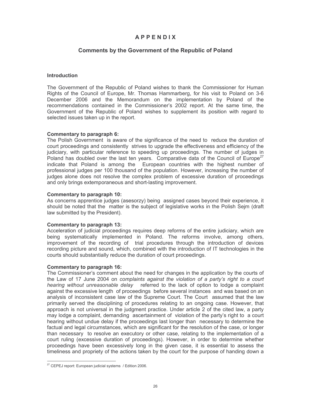### **APPENDIX**

### **Comments by the Government of the Republic of Poland**

### **Introduction**

The Government of the Republic of Poland wishes to thank the Commissioner for Human Rights of the Council of Europe, Mr. Thomas Hammarberg, for his visit to Poland on 3-6 December 2006 and the Memorandum on the implementation by Poland of the recommendations contained in the Commissioner's 2002 report. At the same time, the Government of the Republic of Poland wishes to supplement its position with regard to selected issues taken up in the report.

### Commentary to paragraph 6:

The Polish Government is aware of the significance of the need to reduce the duration of court proceedings and consistently strives to upgrade the effectiveness and efficiency of the judiciary, with particular reference to speeding up proceedings. The number of judges in Poland has doubled over the last ten years. Comparative data of the Council of Europe<sup>27</sup> indicate that Poland is among the European countries with the highest number of professional judges per 100 thousand of the population. However, increasing the number of judges alone does not resolve the complex problem of excessive duration of proceedings and only brings extemporaneous and short-lasting improvement.

### Commentary to paragraph 10:

As concerns apprentice judges (asesorzy) being assigned cases beyond their experience, it should be noted that the matter is the subject of legislative works in the Polish Sejm (draft law submitted by the President).

### Commentary to paragraph 13:

Acceleration of judicial proceedings requires deep reforms of the entire judiciary, which are being systematically implemented in Poland. The reforms involve, among others, improvement of the recording of trial procedures through the introduction of devices recording picture and sound, which, combined with the introduction of IT technologies in the courts should substantially reduce the duration of court proceedings.

### Commentary to paragraph 16:

The Commissioner's comment about the need for changes in the application by the courts of the Law of 17 June 2004 on complaints against the violation of a party's right to a court hearing without unreasonable delay referred to the lack of option to lodge a complaint against the excessive length of proceedings before several instances and was based on an analysis of inconsistent case law of the Supreme Court. The Court assumed that the law primarily served the disciplining of procedures relating to an ongoing case. However, that approach is not universal in the judgment practice. Under article 2 of the cited law, a party may lodge a complaint, demanding ascertainment of violation of the party's right to a court hearing without undue delay if the proceedings last longer than necessary to determine the factual and legal circumstances, which are significant for the resolution of the case, or longer than necessary to resolve an executory or other case, relating to the implementation of a court ruling (excessive duration of proceedings). However, in order to determine whether proceedings have been excessively long in the given case, it is essential to assess the timeliness and propriety of the actions taken by the court for the purpose of handing down a

<sup>&</sup>lt;sup>27</sup> CEPEJ report: European judicial systems / Edition 2006.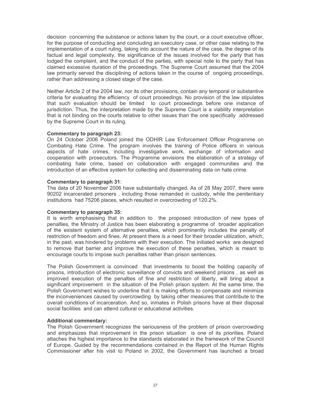decision concerning the substance or actions taken by the court, or a court executive officer, for the purpose of conducting and concluding an executory case, or other case relating to the implementation of a court ruling, taking into account the nature of the case, the degree of its factual and legal complexity, the significance of the issues involved for the party that has lodged the complaint, and the conduct of the parties, with special note to the party that has claimed excessive duration of the proceedings. The Supreme Court assumed that the 2004 law primarily served the disciplining of actions taken in the course of ongoing proceedings, rather than addressing a closed stage of the case.

Neither Article 2 of the 2004 law, nor its other provisions, contain any temporal or substantive criteria for evaluating the efficiency of court proceedings. No provision of the law stipulates that such evaluation should be limited to court proceedings before one instance of jurisdiction. Thus, the interpretation made by the Supreme Court is a viability interpretation that is not binding on the courts relative to other issues than the one specifically addressed by the Supreme Court in its ruling.

### **Commentary to paragraph 23:**

On 24 October 2006 Poland joined the ODHIR Law Enforcement Officer Programme on Combating Hate Crime. The program involves the training of Police officers in various aspects of hate crimes, including investigative work, exchange of information and cooperation with prosecutors. The Programme envisions the elaboration of a strategy of combating hate crime, based on collaboration with engaged communities and the introduction of an effective system for collecting and disseminating data on hate crime.

### **Commentary to paragraph 31:**

The data of 20 November 2006 have substantially changed. As of 28 May 2007, there were 90202 incarcerated prisoners, including those remanded in custody, while the penitentiary institutions had 75206 places, which resulted in overcrowding of 120.2%.

### **Commentary to paragraph 35:**

It is worth emphasising that in addition to the proposed introduction of new types of penalties, the Ministry of Justice has been elaborating a programme of broader application of the existent system of alternative penalties, which prominently includes the penalty of restriction of freedom and fines. At present there is a need for their broader utilization, which, in the past, was hindered by problems with their execution. The initiated works are designed to remove that barrier and improve the execution of these penalties, which is meant to encourage courts to impose such penalties rather than prison sentences.

The Polish Government is convinced that investments to boost the holding capacity of prisons, introduction of electronic surveillance of convicts and weekend prisons, as well as improved execution of the penalties of fine and restriction of liberty, will bring about a significant improvement in the situation of the Polish prison system. At the same time, the Polish Government wishes to underline that it is making efforts to compensate and minimize the inconveniences caused by overcrowding by taking other measures that contribute to the overall conditions of incarceration. And so, inmates in Polish prisons have at their disposal social facilities and can attend cultural or educational activities.

### **Additional commentary:**

The Polish Government recognizes the seriousness of the problem of prison overcrowding and emphasizes that improvement in the prison situation is one of its priorities. Poland attaches the highest importance to the standards elaborated in the framework of the Council of Europe. Guided by the recommendations contained in the Report of the Human Rights Commissioner after his visit to Poland in 2002, the Government has launched a broad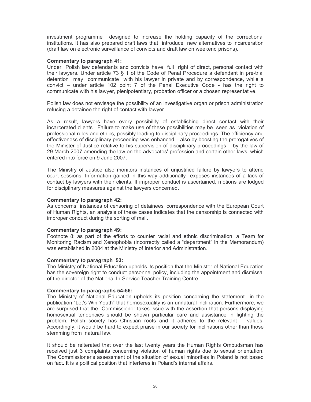investment programme designed to increase the holding capacity of the correctional institutions. It has also prepared draft laws that introduce new alternatives to incarceration (draft law on electronic surveillance of convicts and draft law on weekend prisons).

### **Commentary to paragraph 41:**

Under Polish law defendants and convicts have full right of direct, personal contact with their lawyers. Under article 73 § 1 of the Code of Penal Procedure a defendant in pre-trial detention may communicate with his lawyer in private and by correspondence, while a convict – under article 102 point 7 of the Penal Executive Code - has the right to communicate with his lawyer, plenipotentiary, probation officer or a chosen representative.

Polish law does not envisage the possibility of an investigative organ or prison administration refusing a detainee the right of contact with lawyer.

As a result, lawyers have every possibility of establishing direct contact with their incarcerated clients. Failure to make use of these possibilities may be seen as violation of professional rules and ethics, possibly leading to disciplinary proceedings. The efficiency and effectiveness of disciplinary proceeding was enhanced – also by boosting the prerogatives of the Minister of Justice relative to his supervision of disciplinary proceedings – by the law of 29 March 2007 amending the law on the advocates' profession and certain other laws, which entered into force on 9 June 2007.

The Ministry of Justice also monitors instances of unjustified failure by lawyers to attend court sessions. Information gained in this way additionally exposes instances of a lack of contact by lawyers with their clients. If improper conduct is ascertained, motions are lodged for disciplinary measures against the lawyers concerned.

### **Commentary to paragraph 42:**

As concerns instances of censoring of detainees' correspondence with the European Court of Human Rights, an analysis of these cases indicates that the censorship is connected with improper conduct during the sorting of mail.

### **Commentary to paragraph 49:**

Footnote 8: as part of the efforts to counter racial and ethnic discrimination, a Team for Monitoring Racism and Xenophobia (incorrectly called a "department" in the Memorandum) was established in 2004 at the Ministry of Interior and Administration.

### Commentary to paragraph 53:

The Ministry of National Education upholds its position that the Minister of National Education has the sovereign right to conduct personnel policy, including the appointment and dismissal of the director of the National In-Service Teacher Training Centre.

### Commentary to paragraphs 54-56:

The Ministry of National Education upholds its position concerning the statement in the publication "Let's Win Youth" that homosexuality is an unnatural inclination. Furthermore, we are surprised that the Commissioner takes issue with the assertion that persons displaying homosexual tendencies should be shown particular care and assistance in fighting the problem. Polish society has Christian roots and it adheres to the relevant values. Accordingly, it would be hard to expect praise in our society for inclinations other than those stemming from natural law.

It should be reiterated that over the last twenty years the Human Rights Ombudsman has received just 3 complaints concerning violation of human rights due to sexual orientation. The Commissioner's assessment of the situation of sexual minorities in Poland is not based on fact. It is a political position that interferes in Poland's internal affairs.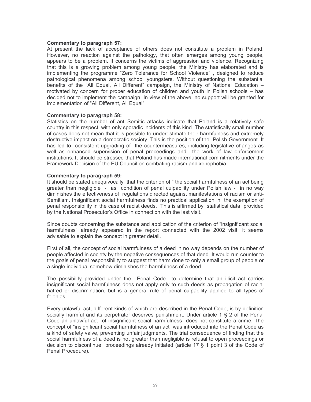### **Commentary to paragraph 57:**

At present the lack of acceptance of others does not constitute a problem in Poland. However, no reaction against the pathology, that often emerges among young people, appears to be a problem. It concerns the victims of aggression and violence. Recognizing that this is a growing problem among young people, the Ministry has elaborated and is implementing the programme "Zero Tolerance for School Violence", designed to reduce pathological phenomena among school youngsters. Without questioning the substantial benefits of the "All Equal, All Different" campaign, the Ministry of National Education motivated by concern for proper education of children and youth in Polish schools – has decided not to implement the campaign. In view of the above, no support will be granted for implementation of "All Different, All Equal".

### **Commentary to paragraph 58:**

Statistics on the number of anti-Semitic attacks indicate that Poland is a relatively safe country in this respect, with only sporadic incidents of this kind. The statistically small number of cases does not mean that it is possible to underestimate their harmfulness and extremely destructive impact on a democratic society. This is the position of the Polish Government. It has led to consistent upgrading of the countermeasures, including legislative changes as well as enhanced supervision of penal proceedings and the work of law enforcement institutions. It should be stressed that Poland has made international commitments under the Framework Decision of the EU Council on combating racism and xenophobia.

### **Commentary to paragraph 59:**

It should be stated unequivocally that the criterion of "the social harmfulness of an act being greater than negligible" - as condition of penal culpability under Polish law - in no way diminishes the effectiveness of regulations directed against manifestations of racism or anti-Semitism. Insignificant social harmfulness finds no practical application in the exemption of penal responsibility in the case of racist deeds. This is affirmed by statistical data provided by the National Prosecutor's Office in connection with the last visit.

Since doubts concerning the substance and application of the criterion of "insignificant social" harmfulness" already appeared in the report connected with the 2002 visit, it seems advisable to explain the concept in greater detail.

First of all, the concept of social harmfulness of a deed in no way depends on the number of people affected in society by the negative consequences of that deed. It would run counter to the goals of penal responsibility to suggest that harm done to only a small group of people or a single individual somehow diminishes the harmfulness of a deed.

The possibility provided under the Penal Code to determine that an illicit act carries insignificant social harmfulness does not apply only to such deeds as propagation of racial hatred or discrimination, but is a general rule of penal culpability applied to all types of felonies.

Every unlawful act, different kinds of which are described in the Penal Code, is by definition socially harmful and its perpetrator deserves punishment. Under article 1  $\S$  2 of the Penal Code an unlawful act of insignificant social harmfulness does not constitute a crime. The concept of "insignificant social harmfulness of an act" was introduced into the Penal Code as a kind of safety valve, preventing unfair judgments. The trial consequence of finding that the social harmfulness of a deed is not greater than negligible is refusal to open proceedings or decision to discontinue proceedings already initiated (article 17  $\S$  1 point 3 of the Code of Penal Procedure).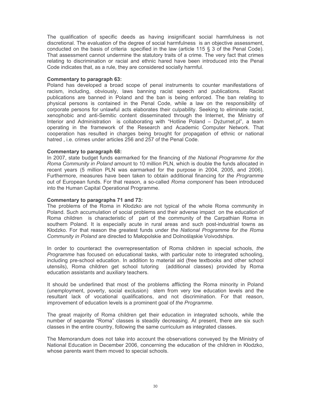The qualification of specific deeds as having insignificant social harmfulness is not discretional. The evaluation of the degree of social harmfulness is an objective assessment, conducted on the basis of criteria specified in the law (article 115 § 3 of the Penal Code). That assessment cannot undermine the statutory traits of a crime. The very fact that crimes relating to discrimination or racial and ethnic hared have been introduced into the Penal Code indicates that, as a rule, they are considered socially harmful.

### **Commentary to paragraph 63:**

Poland has developed a broad scope of penal instruments to counter manifestations of racism, including, obviously, laws banning racist speech and publications. Racist publications are banned in Poland and the ban is being enforced. The ban relating to physical persons is contained in the Penal Code, while a law on the responsibility of corporate persons for unlawful acts elaborates their culpability. Seeking to eliminate racist, xenophobic and anti-Semitic content disseminated through the Internet, the Ministry of Interior and Administration is collaborating with "Hotline Poland – Dyzurnet.pl", a team operating in the framework of the Research and Academic Computer Network. That cooperation has resulted in charges being brought for propagation of ethnic or national hatred, i.e. crimes under articles 256 and 257 of the Penal Code.

### **Commentary to paragraph 68:**

In 2007, state budget funds earmarked for the financing of the National Programme for the Roma Community in Poland amount to 10 million PLN, which is double the funds allocated in recent years (5 million PLN was earmarked for the purpose in 2004, 2005, and 2006). Furthermore, measures have been taken to obtain additional financing for the Programme out of European funds. For that reason, a so-called Roma component has been introduced into the Human Capital Operational Programme.

### Commentary to paragraphs 71 and 73:

The problems of the Roma in Kłodzko are not typical of the whole Roma community in Poland. Such accumulation of social problems and their adverse impact on the education of Roma children is characteristic of part of the community of the Carpathian Roma in southern Poland. It is especially acute in rural areas and such post-industrial towns as Kłodzko. For that reason the greatest funds under the National Programme for the Roma Community in Poland are directed to Małopolskie and Dolnośląskie Voivodships.

In order to counteract the overrepresentation of Roma children in special schools, the Programme has focused on educational tasks, with particular note to integrated schooling, including pre-school education. In addition to material aid (free textbooks and other school utensils). Roma children get school tutoring (additional classes) provided by Roma education assistants and auxiliary teachers.

It should be underlined that most of the problems afflicting the Roma minority in Poland (unemployment, poverty, social exclusion) stem from very low education levels and the resultant lack of vocational qualifications, and not discrimination. For that reason, improvement of education levels is a prominent goal of the Programme.

The great majority of Roma children get their education in integrated schools, while the number of separate "Roma" classes is steadily decreasing. At present, there are six such classes in the entire country, following the same curriculum as integrated classes.

The Memorandum does not take into account the observations conveved by the Ministry of National Education in December 2006, concerning the education of the children in Kłodzko, whose parents want them moved to special schools.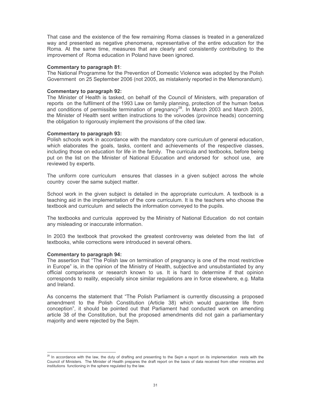That case and the existence of the few remaining Roma classes is treated in a generalized way and presented as negative phenomena, representative of the entire education for the Roma. At the same time, measures that are clearly and consistently contributing to the improvement of Roma education in Poland have been ignored.

### **Commentary to paragraph 81:**

The National Programme for the Prevention of Domestic Violence was adopted by the Polish Government on 25 September 2006 (not 2005, as mistakenly reported in the Memorandum).

#### **Commentary to paragraph 92:**

The Minister of Health is tasked, on behalf of the Council of Ministers, with preparation of reports on the fulfilment of the 1993 Law on family planning, protection of the human foetus and conditions of permissible termination of pregnancy<sup>28</sup>. In March 2003 and March 2005, the Minister of Health sent written instructions to the voivodes (province heads) concerning the obligation to rigorously implement the provisions of the cited law.

#### **Commentary to paragraph 93:**

Polish schools work in accordance with the mandatory core curriculum of general education, which elaborates the goals, tasks, content and achievements of the respective classes, including those on education for life in the family. The curricula and textbooks, before being put on the list on the Minister of National Education and endorsed for school use, are reviewed by experts.

The uniform core curriculum ensures that classes in a given subject across the whole country cover the same subject matter.

School work in the given subject is detailed in the appropriate curriculum. A textbook is a teaching aid in the implementation of the core curriculum. It is the teachers who choose the textbook and curriculum and selects the information conveyed to the pupils.

The textbooks and curricula approved by the Ministry of National Education do not contain any misleading or inaccurate information.

In 2003 the textbook that provoked the greatest controversy was deleted from the list of textbooks, while corrections were introduced in several others.

### **Commentary to paragraph 94:**

The assertion that "The Polish law on termination of pregnancy is one of the most restrictive in Europe" is, in the opinion of the Ministry of Health, subjective and unsubstantiated by any official comparisons or research known to us. It is hard to determine if that opinion corresponds to reality, especially since similar regulations are in force elsewhere, e.g. Malta and Ireland.

As concerns the statement that "The Polish Parliament is currently discussing a proposed amendment to the Polish Constitution (Article 38) which would guarantee life from conception", it should be pointed out that Parliament had conducted work on amending article 38 of the Constitution, but the proposed amendments did not gain a parliamentary majority and were rejected by the Sejm.

<sup>&</sup>lt;sup>28</sup> In accordance with the law, the duty of drafting and presenting to the Sejm a report on its implementation rests with the Council of Ministers. The Minister of Health prepares the draft report on the basis of data received from other ministries and institutions functioning in the sphere regulated by the law.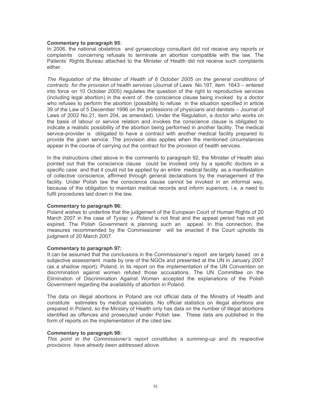### **Commentary to paragraph 95:**

In 2006, the national obstetrics and gynaecology consultant did not receive any reports or complaints concerning refusals to terminate an abortion compatible with the law. The Patients' Rights Bureau attached to the Minister of Health did not receive such complaints either.

The Regulation of the Minister of Health of 6 October 2005 on the general conditions of contracts for the provision of health services (Journal of Laws No.197, item 1643 – entered into force on 10 October 2005) regulates the question of the right to reproductive services (including legal abortion) in the event of the conscience clause being invoked by a doctor who refuses to perform the abortion (possibility to refuse in the situation specified in article 39 of the Law of 5 December 1996 on the professions of physicians and dentists – Journal of Laws of 2002 No.21, item 204, as amended). Under the Regulation, a doctor who works on the basis of labour or service relation and invokes the conscience clause is obligated to indicate a realistic possibility of the abortion being performed in another facility. The medical service-provider is obligated to have a contract with another medical facility prepared to provide the given service. The provision also applies when the mentioned circumstances appear in the course of carrying out the contract for the provision of health services.

In the instructions cited above in the comments to paragraph 92, the Minister of Health also pointed out that the conscience clause could be invoked only by a specific doctors in a specific case and that it could not be applied by an entire medical facility as a manifestation of collective conscience, affirmed through general declarations by the management of the facility. Under Polish law the conscience clause cannot be invoked in an informal way, because of the obligation to maintain medical records and inform superiors, i.e. a need to fulfil procedures laid down in the law.

### **Commentary to paragraph 96:**

Poland wishes to underline that the judgement of the European Court of Human Rights of 20 March 2007 in the case of Tysiac v. Poland is not final and the appeal period has not yet expired. The Polish Government is planning such an appeal. In this connection, the measures recommended by the Commissioner will be enacted if the Court upholds its judgment of 20 March 2007.

### **Commentary to paragraph 97:**

It can be assumed that the conclusions in the Commissioner's report are largely based on a subjective assessment made by one of the NGOs and presented at the UN in January 2007 (as a shadow report). Poland, in its report on the implementation of the UN Convention on discrimination against women refuted those accusations. The UN Committee on the Elimination of Discrimination Against Women accepted the explanations of the Polish Government regarding the availability of abortion in Poland.

The data on illegal abortions in Poland are not official data of the Ministry of Health and constitute estimates by medical specialists. No official statistics on illegal abortions are prepared in Poland, so the Ministry of Health only has data on the number of illegal abortions identified as offences and prosecuted under Polish law. These data are published in the form of reports on the implementation of the cited law.

### **Commentary to paragraph 98:**

This point in the Commissioner's report constitutes a summing-up and its respective provisions have already been addressed above.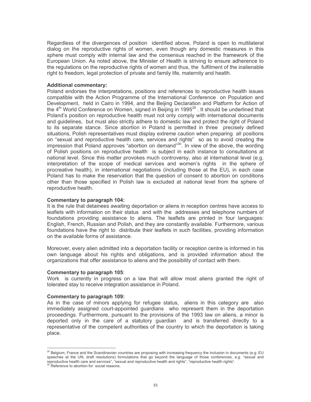Regardless of the divergences of position identified above, Poland is open to multilateral dialog on the reproductive rights of women, even though any domestic measures in this sphere must comply with internal law and the consensus reached in the framework of the European Union. As noted above, the Minister of Health is striving to ensure adherence to the regulations on the reproductive rights of women and thus, the fulfilment of the inalienable right to freedom, legal protection of private and family life, maternity and health.

#### **Additional commentary:**

Poland endorses the interpretations, positions and references to reproductive health issues compatible with the Action Programme of the International Conference on Population and Development, held in Cairo in 1994, and the Beijing Declaration and Platform for Action of the 4<sup>th</sup> World Conference on Women, signed in Beijing in 1995<sup>29</sup>. It should be underlined that Poland's position on reproductive health must not only comply with international documents and guidelines, but must also strictly adhere to domestic law and protect the right of Poland to its separate stance. Since abortion in Poland is permitted in three precisely defined situations, Polish representatives must display extreme caution when preparing all positions on "sexual and reproductive health care, services and rights" so as to avoid creating the impression that Poland approves "abortion on demand"<sup>30</sup>. In view of the above, the wording of Polish positions on reproductive health is subject in each instance to consultations at national level. Since this matter provokes much controversy, also at international level (e.g. interpretation of the scope of medical services and women's rights in the sphere of procreative health), in international negotiations (including those at the EU), in each case Poland has to make the reservation that the question of consent to abortion on conditions other than those specified in Polish law is excluded at national level from the sphere of reproductive health.

#### Commentary to paragraph 104:

It is the rule that detainees awaiting deportation or aliens in reception centres have access to leaflets with information on their status and with the addresses and telephone numbers of foundations providing assistance to aliens. The leaflets are printed in four languages: English, French, Russian and Polish, and they are constantly available. Furthermore, various foundations have the right to distribute their leaflets in such facilities, providing information on the available forms of assistance

Moreover, every alien admitted into a deportation facility or reception centre is informed in his own language about his rights and obligations, and is provided information about the organizations that offer assistance to aliens and the possibility of contact with them.

#### **Commentary to paragraph 105:**

Work is currently in progress on a law that will allow most aliens granted the right of tolerated stay to receive integration assistance in Poland.

### **Commentary to paragraph 109:**

As in the case of minors applying for refugee status, aliens in this category are also immediately assigned court-appointed guardians who represent them in the deportation proceedings. Furthermore, pursuant to the provisions of the 1993 law on aliens, a minor is deported only in the care of a statutory guardian and is transferred directly to a representative of the competent authorities of the country to which the deportation is taking place.

<sup>&</sup>lt;sup>29</sup> Belgium, France and the Scandinavian countries are proposing with increasing frequency the inclusion in documents (e.g. EU speeches at the UN, draft resolutions) formulations that go beyond the language of those conferences, e.g. "sexual and reproductive health care and services", "sexual and reproductive health and rights", "reproductive health rights".

<sup>&</sup>lt;sup>30</sup> Reference to abortion for social reasons.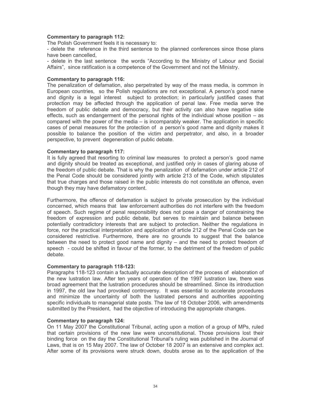### **Commentary to paragraph 112:**

The Polish Government feels it is necessary to:

- delete the reference in the third sentence to the planned conferences since those plans have been cancelled.

- delete in the last sentence the words "According to the Ministry of Labour and Social Affairs", since ratification is a competence of the Government and not the Ministry.

### **Commentary to paragraph 116:**

The penalization of defamation, also perpetrated by way of the mass media, is common in European countries, so the Polish regulations are not exceptional. A person's good name and dignity is a legal interest subject to protection; in particularly justified cases that protection may be affected through the application of penal law. Free media serve the freedom of public debate and democracy, but their activity can also have negative side effects, such as endangerment of the personal rights of the individual whose position  $-$  as compared with the power of the media  $-$  is incomparably weaker. The application in specific cases of penal measures for the protection of a person's good name and dignity makes it possible to balance the position of the victim and perpetrator, and also, in a broader perspective, to prevent degeneration of public debate.

#### **Commentary to paragraph 117:**

It is fully agreed that resorting to criminal law measures to protect a person's good name and dignity should be treated as exceptional, and justified only in cases of glaring abuse of the freedom of public debate. That is why the penalization of defamation under article 212 of the Penal Code should be considered jointly with article 213 of the Code, which stipulates that true charges and those raised in the public interests do not constitute an offence, even though they may have defamatory content.

Furthermore, the offence of defamation is subject to private prosecution by the individual concerned, which means that law enforcement authorities do not interfere with the freedom of speech. Such regime of penal responsibility does not pose a danger of constraining the freedom of expression and public debate, but serves to maintain and balance between potentially contradictory interests that are subject to protection. Neither the regulations in force, nor the practical interpretation and application of article 212 of the Penal Code can be considered restrictive. Furthermore, there are no grounds to suggest that the balance between the need to protect good name and dignity – and the need to protect freedom of speech - could be shifted in favour of the former, to the detriment of the freedom of public debate.

### **Commentary to paragraph 118-123:**

Paragraphs 118-123 contain a factually accurate description of the process of elaboration of the new lustration law. After ten years of operation of the 1997 lustration law, there was broad agreement that the lustration procedures should be streamlined. Since its introduction in 1997, the old law had provoked controversy. It was essential to accelerate procedures and minimize the uncertainty of both the lustrated persons and authorities appointing specific individuals to managerial state posts. The law of 18 October 2006, with amendments submitted by the President, had the objective of introducing the appropriate changes.

### **Commentary to paragraph 124:**

On 11 May 2007 the Constitutional Tribunal, acting upon a motion of a group of MPs, ruled that certain provisions of the new law were unconstitutional. Those provisions lost their binding force on the day the Constitutional Tribunal's ruling was published in the Journal of Laws, that is on 15 May 2007. The law of October 18 2007 is an extensive and complex act. After some of its provisions were struck down, doubts arose as to the application of the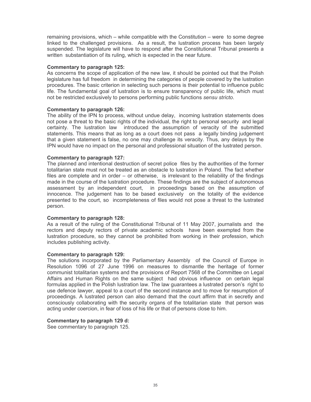remaining provisions, which – while compatible with the Constitution – were to some degree linked to the challenged provisions. As a result, the lustration process has been largely suspended. The legislature will have to respond after the Constitutional Tribunal presents a written substantiation of its ruling, which is expected in the near future.

### **Commentary to paragraph 125:**

As concerns the scope of application of the new law, it should be pointed out that the Polish legislature has full freedom in determining the categories of people covered by the lustration procedures. The basic criterion in selecting such persons is their potential to influence public life. The fundamental goal of lustration is to ensure transparency of public life, which must not be restricted exclusively to persons performing public functions sensu stricto.

### **Commentary to paragraph 126:**

The ability of the IPN to process, without undue delay, incoming lustration statements does not pose a threat to the basic rights of the individual, the right to personal security and legal certainty. The lustration law introduced the assumption of veracity of the submitted statements. This means that as long as a court does not pass a legally binding judgement that a given statement is false, no one may challenge its veracity. Thus, any delays by the IPN would have no impact on the personal and professional situation of the lustrated person.

### Commentary to paragraph 127:

The planned and intentional destruction of secret police files by the authorities of the former totalitarian state must not be treated as an obstacle to lustration in Poland. The fact whether files are complete and in order – or otherwise, is irrelevant to the reliability of the findings made in the course of the lustration procedure. These findings are the subject of autonomous assessment by an independent court, in proceedings based on the assumption of innocence. The judgement has to be based exclusively on the totality of the evidence presented to the court, so incompleteness of files would not pose a threat to the lustrated person.

### **Commentary to paragraph 128:**

As a result of the ruling of the Constitutional Tribunal of 11 May 2007, journalists and the rectors and deputy rectors of private academic schools have been exempted from the lustration procedure, so they cannot be prohibited from working in their profession, which includes publishing activity.

### **Commentary to paragraph 129:**

The solutions incorporated by the Parliamentary Assembly of the Council of Europe in Resolution 1096 of 27 June 1996 on measures to dismantle the heritage of former communist totalitarian systems and the provisions of Report 7568 of the Committee on Legal Affairs and Human Rights on the same subject had obvious influence on certain legal formulas applied in the Polish lustration law. The law guarantees a lustrated person's right to use defence lawyer, appeal to a court of the second instance and to move for resumption of proceedings. A lustrated person can also demand that the court affirm that in secretly and consciously collaborating with the security organs of the totalitarian state that person was acting under coercion, in fear of loss of his life or that of persons close to him.

### Commentary to paragraph 129 d:

See commentary to paragraph 125.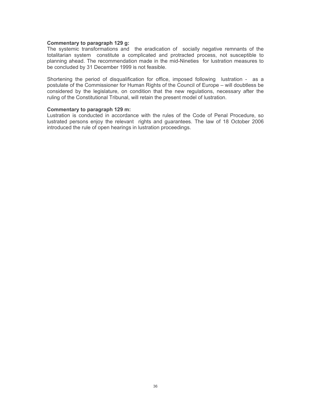### Commentary to paragraph 129 g:

The systemic transformations and the eradication of socially negative remnants of the totalitarian system constitute a complicated and protracted process, not susceptible to planning ahead. The recommendation made in the mid-Nineties for lustration measures to be concluded by 31 December 1999 is not feasible.

Shortening the period of disqualification for office, imposed following lustration - as a postulate of the Commissioner for Human Rights of the Council of Europe – will doubtless be considered by the legislature, on condition that the new regulations, necessary after the ruling of the Constitutional Tribunal, will retain the present model of lustration.

### Commentary to paragraph 129 m:

Lustration is conducted in accordance with the rules of the Code of Penal Procedure, so lustrated persons enjoy the relevant rights and guarantees. The law of 18 October 2006 introduced the rule of open hearings in lustration proceedings.